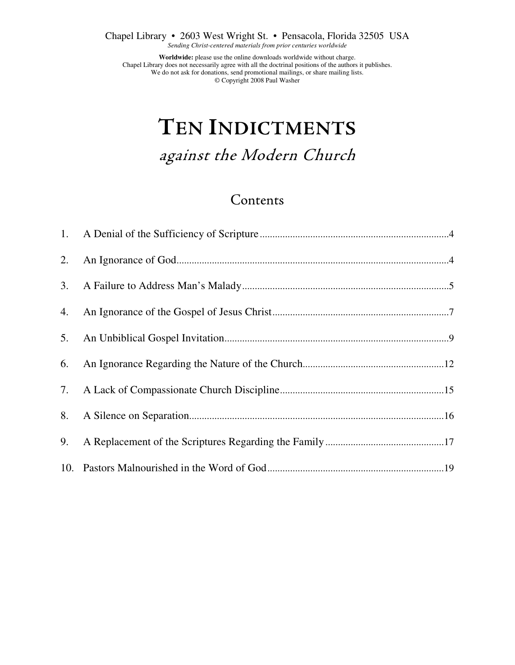Chapel Library • 2603 West Wright St. • Pensacola, Florida 32505 USA

*Sending Christ-centered materials from prior centuries worldwide* 

**Worldwide:** please use the online downloads worldwide without charge. Chapel Library does not necessarily agree with all the doctrinal positions of the authors it publishes. We do not ask for donations, send promotional mailings, or share mailing lists. © Copyright 2008 Paul Washer

# **TEN INDICTMENTS**

against the Modern Church

### Contents

| 2. |  |
|----|--|
|    |  |
| 4. |  |
|    |  |
| 6. |  |
|    |  |
|    |  |
| 9. |  |
|    |  |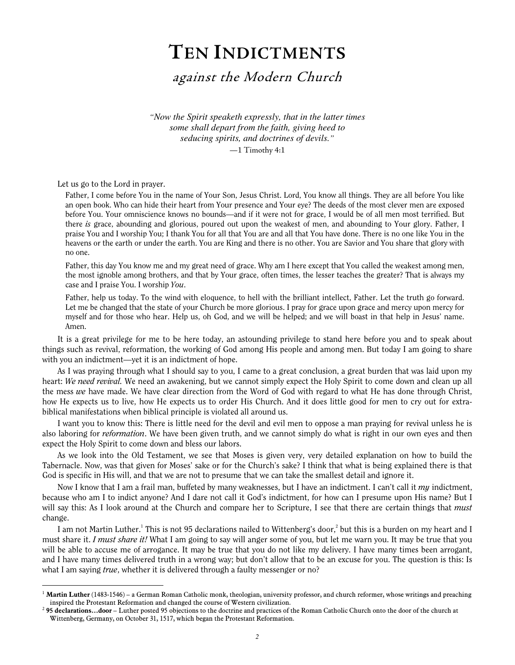## **TEN INDICTMENTS**

against the Modern Church

*"Now the Spirit speaketh expressly, that in the latter times some shall depart from the faith, giving heed to seducing spirits, and doctrines of devils."*

—1 Timothy 4:1

Let us go to the Lord in prayer.

 $\overline{a}$ 

Father, I come before You in the name of Your Son, Jesus Christ. Lord, You know all things. They are all before You like an open book. Who can hide their heart from Your presence and Your eye? The deeds of the most clever men are exposed before You. Your omniscience knows no bounds—and if it were not for grace, I would be of all men most terrified. But there is grace, abounding and glorious, poured out upon the weakest of men, and abounding to Your glory. Father, I praise You and I worship You; I thank You for all that You are and all that You have done. There is no one like You in the heavens or the earth or under the earth. You are King and there is no other. You are Savior and You share that glory with no one.

Father, this day You know me and my great need of grace. Why am I here except that You called the weakest among men, the most ignoble among brothers, and that by Your grace, often times, the lesser teaches the greater? That is always my case and I praise You. I worship You.

Father, help us today. To the wind with eloquence, to hell with the brilliant intellect, Father. Let the truth go forward. Let me be changed that the state of your Church be more glorious. I pray for grace upon grace and mercy upon mercy for myself and for those who hear. Help us, oh God, and we will be helped; and we will boast in that help in Jesus' name. Amen.

It is a great privilege for me to be here today, an astounding privilege to stand here before you and to speak about things such as revival, reformation, the working of God among His people and among men. But today I am going to share with you an indictment—yet it is an indictment of hope.

As I was praying through what I should say to you, I came to a great conclusion, a great burden that was laid upon my heart: We need revival. We need an awakening, but we cannot simply expect the Holy Spirit to come down and clean up all the mess we have made. We have clear direction from the Word of God with regard to what He has done through Christ, how He expects us to live, how He expects us to order His Church. And it does little good for men to cry out for extrabiblical manifestations when biblical principle is violated all around us.

I want you to know this: There is little need for the devil and evil men to oppose a man praying for revival unless he is also laboring for *reformation*. We have been given truth, and we cannot simply do what is right in our own eyes and then expect the Holy Spirit to come down and bless our labors.

As we look into the Old Testament, we see that Moses is given very, very detailed explanation on how to build the Tabernacle. Now, was that given for Moses' sake or for the Church's sake? I think that what is being explained there is that God is specific in His will, and that we are not to presume that we can take the smallest detail and ignore it.

Now I know that I am a frail man, buffeted by many weaknesses, but I have an indictment. I can't call it  $m\eta$  indictment, because who am I to indict anyone? And I dare not call it God's indictment, for how can I presume upon His name? But I will say this: As I look around at the Church and compare her to Scripture, I see that there are certain things that *must* change.

I am not Martin Luther.<sup>1</sup> This is not 95 declarations nailed to Wittenberg's door,<sup>2</sup> but this is a burden on my heart and I must share it. I must share it! What I am going to say will anger some of you, but let me warn you. It may be true that you will be able to accuse me of arrogance. It may be true that you do not like my delivery. I have many times been arrogant, and I have many times delivered truth in a wrong way; but don't allow that to be an excuse for you. The question is this: Is what I am saying *true*, whether it is delivered through a faulty messenger or no?

<sup>&</sup>lt;sup>1</sup> Martin Luther (1483-1546) – a German Roman Catholic monk, theologian, university professor, and church reformer, whose writings and preaching inspired the Protestant Reformation and changed the course of Western civilization.

<sup>2</sup> 95 declarations…door – Luther posted 95 objections to the doctrine and practices of the Roman Catholic Church onto the door of the church at Wittenberg, Germany, on October 31, 1517, which began the Protestant Reformation.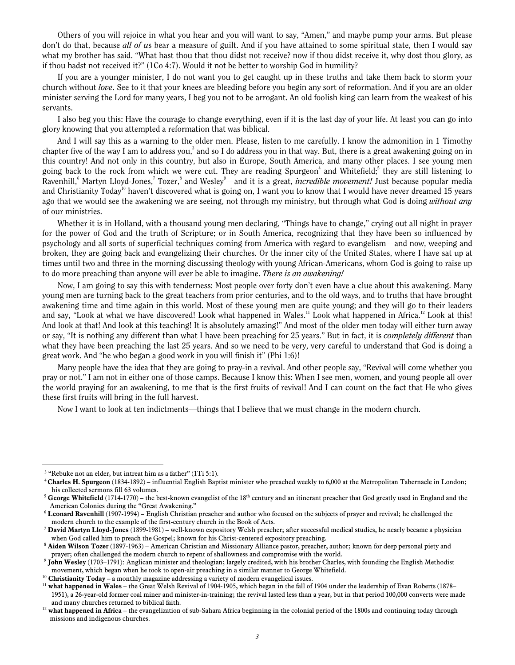Others of you will rejoice in what you hear and you will want to say, "Amen," and maybe pump your arms. But please don't do that, because all of us bear a measure of guilt. And if you have attained to some spiritual state, then I would say what my brother has said. "What hast thou that thou didst not receive? now if thou didst receive it, why dost thou glory, as if thou hadst not received it?" (1Co 4:7). Would it not be better to worship God in humility?

If you are a younger minister, I do not want you to get caught up in these truths and take them back to storm your church without love. See to it that your knees are bleeding before you begin any sort of reformation. And if you are an older minister serving the Lord for many years, I beg you not to be arrogant. An old foolish king can learn from the weakest of his servants.

I also beg you this: Have the courage to change everything, even if it is the last day of your life. At least you can go into glory knowing that you attempted a reformation that was biblical.

And I will say this as a warning to the older men. Please, listen to me carefully. I know the admonition in 1 Timothy chapter five of the way I am to address you,<sup>3</sup> and so I do address you in that way. But, there is a great awakening going on in this country! And not only in this country, but also in Europe, South America, and many other places. I see young men going back to the rock from which we were cut. They are reading Spurgeon<sup>4</sup> and Whitefield;<sup>5</sup> they are still listening to Ravenhill,<sup>6</sup> Martyn Lloyd-Jones,<sup>7</sup> Tozer,<sup>8</sup> and Wesley<sup>9</sup>—and it is a great, *incredible movement!* Just because popular media and Christianity Today<sup>10</sup> haven't discovered what is going on, I want you to know that I would have never dreamed 15 years ago that we would see the awakening we are seeing, not through my ministry, but through what God is doing *without any* of our ministries.

Whether it is in Holland, with a thousand young men declaring, "Things have to change," crying out all night in prayer for the power of God and the truth of Scripture; or in South America, recognizing that they have been so influenced by psychology and all sorts of superficial techniques coming from America with regard to evangelism—and now, weeping and broken, they are going back and evangelizing their churches. Or the inner city of the United States, where I have sat up at times until two and three in the morning discussing theology with young African-Americans, whom God is going to raise up to do more preaching than anyone will ever be able to imagine. There is an awakening!

Now, I am going to say this with tenderness: Most people over forty don't even have a clue about this awakening. Many young men are turning back to the great teachers from prior centuries, and to the old ways, and to truths that have brought awakening time and time again in this world. Most of these young men are quite young; and they will go to their leaders and say, "Look at what we have discovered! Look what happened in Wales.<sup>11</sup> Look what happened in Africa.<sup>12</sup> Look at this! And look at that! And look at this teaching! It is absolutely amazing!" And most of the older men today will either turn away or say, "It is nothing any different than what I have been preaching for 25 years." But in fact, it is *completely different* than what they have been preaching the last 25 years. And so we need to be very, very careful to understand that God is doing a great work. And "he who began a good work in you will finish it" (Phi 1:6)!

Many people have the idea that they are going to pray-in a revival. And other people say, "Revival will come whether you pray or not." I am not in either one of those camps. Because I know this: When I see men, women, and young people all over the world praying for an awakening, to me that is the first fruits of revival! And I can count on the fact that He who gives these first fruits will bring in the full harvest.

Now I want to look at ten indictments—things that I believe that we must change in the modern church.

 $3$  "Rebuke not an elder, but intreat him as a father" (1Ti 5:1).

<sup>4</sup>Charles H. Spurgeon (1834-1892) – influential English Baptist minister who preached weekly to 6,000 at the Metropolitan Tabernacle in London; his collected sermons fill 63 volumes.

<sup>&</sup>lt;sup>5</sup> George Whitefield (1714-1770) – the best-known evangelist of the 18<sup>th</sup> century and an itinerant preacher that God greatly used in England and the American Colonies during the "Great Awakening."

 $6$  Leonard Ravenhill (1907-1994) – English Christian preacher and author who focused on the subjects of prayer and revival; he challenged the modern church to the example of the first-century church in the Book of Acts.

<sup>&</sup>lt;sup>7</sup> David Martyn Lloyd-Jones (1899-1981) – well-known expository Welsh preacher; after successful medical studies, he nearly became a physician when God called him to preach the Gospel; known for his Christ-centered expository preaching.

 $8$  Aiden Wilson Tozer (1897-1963) – American Christian and Missionary Alliance pastor, preacher, author; known for deep personal piety and prayer; often challenged the modern church to repent of shallowness and compromise with the world.

<sup>9</sup> John Wesley (1703–1791): Anglican minister and theologian; largely credited, with his brother Charles, with founding the English Methodist movement, which began when he took to open-air preaching in a similar manner to George Whitefield.

<sup>&</sup>lt;sup>10</sup> Christianity Today – a monthly magazine addressing a variety of modern evangelical issues.

 $11$  what happened in Wales – the Great Welsh Revival of 1904-1905, which began in the fall of 1904 under the leadership of Evan Roberts (1878– 1951), a 26-year-old former coal miner and minister-in-training; the revival lasted less than a year, but in that period 100,000 converts were made and many churches returned to biblical faith.

<sup>&</sup>lt;sup>12</sup> what happened in Africa – the evangelization of sub-Sahara Africa beginning in the colonial period of the 1800s and continuing today through missions and indigenous churches.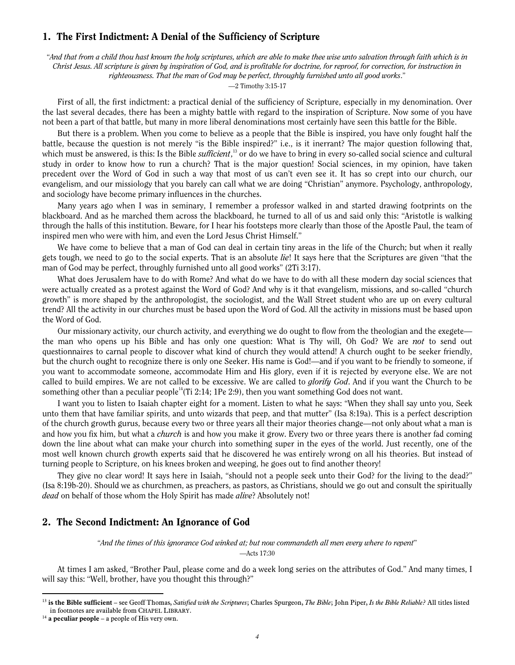#### 1. The First Indictment: A Denial of the Sufficiency of Scripture

"And that from a child thou hast known the holy scriptures, which are able to make thee wise unto salvation through faith which is in Christ Jesus. All scripture is given by inspiration of God, and is profitable for doctrine, for reproof, for correction, for instruction in righteousness. That the man of God may be perfect, throughly furnished unto all good works."

—2 Timothy 3:15-17

First of all, the first indictment: a practical denial of the sufficiency of Scripture, especially in my denomination. Over the last several decades, there has been a mighty battle with regard to the inspiration of Scripture. Now some of you have not been a part of that battle, but many in more liberal denominations most certainly have seen this battle for the Bible.

But there is a problem. When you come to believe as a people that the Bible is inspired, you have only fought half the battle, because the question is not merely "is the Bible inspired?" i.e., is it inerrant? The major question following that, which must be answered, is this: Is the Bible *sufficient*,<sup>13</sup> or do we have to bring in every so-called social science and cultural study in order to know how to run a church? That is the major question! Social sciences, in my opinion, have taken precedent over the Word of God in such a way that most of us can't even see it. It has so crept into our church, our evangelism, and our missiology that you barely can call what we are doing "Christian" anymore. Psychology, anthropology, and sociology have become primary influences in the churches.

Many years ago when I was in seminary, I remember a professor walked in and started drawing footprints on the blackboard. And as he marched them across the blackboard, he turned to all of us and said only this: "Aristotle is walking through the halls of this institution. Beware, for I hear his footsteps more clearly than those of the Apostle Paul, the team of inspired men who were with him, and even the Lord Jesus Christ Himself."

We have come to believe that a man of God can deal in certain tiny areas in the life of the Church; but when it really gets tough, we need to go to the social experts. That is an absolute *lie*! It says here that the Scriptures are given "that the man of God may be perfect, throughly furnished unto all good works" (2Ti 3:17).

What does Jerusalem have to do with Rome? And what do we have to do with all these modern day social sciences that were actually created as a protest against the Word of God? And why is it that evangelism, missions, and so-called "church growth" is more shaped by the anthropologist, the sociologist, and the Wall Street student who are up on every cultural trend? All the activity in our churches must be based upon the Word of God. All the activity in missions must be based upon the Word of God.

Our missionary activity, our church activity, and everything we do ought to flow from the theologian and the exegete the man who opens up his Bible and has only one question: What is Thy will, Oh God? We are *not* to send out questionnaires to carnal people to discover what kind of church they would attend! A church ought to be seeker friendly, but the church ought to recognize there is only one Seeker. His name is God!—and if you want to be friendly to someone, if you want to accommodate someone, accommodate Him and His glory, even if it is rejected by everyone else. We are not called to build empires. We are not called to be excessive. We are called to *glorify God*. And if you want the Church to be something other than a peculiar people<sup>14</sup>(Ti 2:14; 1Pe 2:9), then you want something God does not want.

I want you to listen to Isaiah chapter eight for a moment. Listen to what he says: "When they shall say unto you, Seek unto them that have familiar spirits, and unto wizards that peep, and that mutter" (Isa 8:19a). This is a perfect description of the church growth gurus, because every two or three years all their major theories change—not only about what a man is and how you fix him, but what a *church* is and how you make it grow. Every two or three years there is another fad coming down the line about what can make your church into something super in the eyes of the world. Just recently, one of the most well known church growth experts said that he discovered he was entirely wrong on all his theories. But instead of turning people to Scripture, on his knees broken and weeping, he goes out to find another theory!

They give no clear word! It says here in Isaiah, "should not a people seek unto their God? for the living to the dead?" (Isa 8:19b-20). Should we as churchmen, as preachers, as pastors, as Christians, should we go out and consult the spiritually dead on behalf of those whom the Holy Spirit has made *alive*? Absolutely not!

#### 2. The Second Indictment: An Ignorance of God

"And the times of this ignorance God winked at; but now commandeth all men every where to repent"

—Acts 17:30

At times I am asked, "Brother Paul, please come and do a week long series on the attributes of God." And many times, I will say this: "Well, brother, have you thought this through?"

<sup>&</sup>lt;sup>13</sup> is the Bible sufficient – see Geoff Thomas, Satisfied with the Scriptures; Charles Spurgeon, The Bible; John Piper, Is the Bible Reliable? All titles listed in footnotes are available from CHAPEL LIBRARY.

 $14$  a peculiar people – a people of His very own.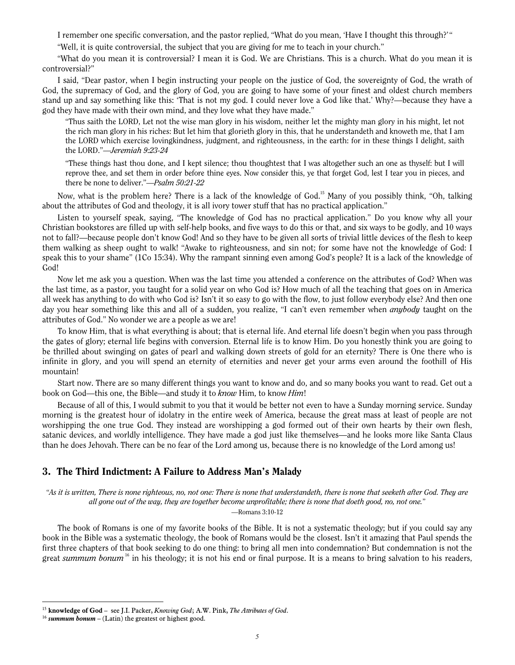I remember one specific conversation, and the pastor replied, "What do you mean, 'Have I thought this through?'"

"Well, it is quite controversial, the subject that you are giving for me to teach in your church."

"What do you mean it is controversial? I mean it is God. We are Christians. This is a church. What do you mean it is controversial?"

I said, "Dear pastor, when I begin instructing your people on the justice of God, the sovereignty of God, the wrath of God, the supremacy of God, and the glory of God, you are going to have some of your finest and oldest church members stand up and say something like this: 'That is not my god. I could never love a God like that.' Why?—because they have a god they have made with their own mind, and they love what they have made."

"Thus saith the LORD, Let not the wise man glory in his wisdom, neither let the mighty man glory in his might, let not the rich man glory in his riches: But let him that glorieth glory in this, that he understandeth and knoweth me, that I am the LORD which exercise lovingkindness, judgment, and righteousness, in the earth: for in these things I delight, saith the LORD."—Jeremiah 9:23-24

"These things hast thou done, and I kept silence; thou thoughtest that I was altogether such an one as thyself: but I will reprove thee, and set them in order before thine eyes. Now consider this, ye that forget God, lest I tear you in pieces, and there be none to deliver."—Psalm 50:21-22

Now, what is the problem here? There is a lack of the knowledge of God.<sup>15</sup> Many of you possibly think, "Oh, talking about the attributes of God and theology, it is all ivory tower stuff that has no practical application."

Listen to yourself speak, saying, "The knowledge of God has no practical application." Do you know why all your Christian bookstores are filled up with self-help books, and five ways to do this or that, and six ways to be godly, and 10 ways not to fall?—because people don't know God! And so they have to be given all sorts of trivial little devices of the flesh to keep them walking as sheep ought to walk! "Awake to righteousness, and sin not; for some have not the knowledge of God: I speak this to your shame" (1Co 15:34). Why the rampant sinning even among God's people? It is a lack of the knowledge of God!

Now let me ask you a question. When was the last time you attended a conference on the attributes of God? When was the last time, as a pastor, you taught for a solid year on who God is? How much of all the teaching that goes on in America all week has anything to do with who God is? Isn't it so easy to go with the flow, to just follow everybody else? And then one day you hear something like this and all of a sudden, you realize, "I can't even remember when *anybody* taught on the attributes of God." No wonder we are a people as we are!

To know Him, that is what everything is about; that is eternal life. And eternal life doesn't begin when you pass through the gates of glory; eternal life begins with conversion. Eternal life is to know Him. Do you honestly think you are going to be thrilled about swinging on gates of pearl and walking down streets of gold for an eternity? There is One there who is infinite in glory, and you will spend an eternity of eternities and never get your arms even around the foothill of His mountain!

Start now. There are so many different things you want to know and do, and so many books you want to read. Get out a book on God—this one, the Bible—and study it to *know* Him, to know *Him!* 

Because of all of this, I would submit to you that it would be better not even to have a Sunday morning service. Sunday morning is the greatest hour of idolatry in the entire week of America, because the great mass at least of people are not worshipping the one true God. They instead are worshipping a god formed out of their own hearts by their own flesh, satanic devices, and worldly intelligence. They have made a god just like themselves—and he looks more like Santa Claus than he does Jehovah. There can be no fear of the Lord among us, because there is no knowledge of the Lord among us!

#### 3. The Third Indictment: A Failure to Address Man's Malady

"As it is written, There is none righteous, no, not one: There is none that understandeth, there is none that seeketh after God. They are all gone out of the way, they are together become unprofitable; there is none that doeth good, no, not one."

—Romans 3:10-12

The book of Romans is one of my favorite books of the Bible. It is not a systematic theology; but if you could say any book in the Bible was a systematic theology, the book of Romans would be the closest. Isn't it amazing that Paul spends the first three chapters of that book seeking to do one thing: to bring all men into condemnation? But condemnation is not the great summum bonum<sup>16</sup> in his theology; it is not his end or final purpose. It is a means to bring salvation to his readers,

<sup>&</sup>lt;sup>15</sup> knowledge of God - see J.I. Packer, Knowing God; A.W. Pink, The Attributes of God.

 $16$  summum bonum – (Latin) the greatest or highest good.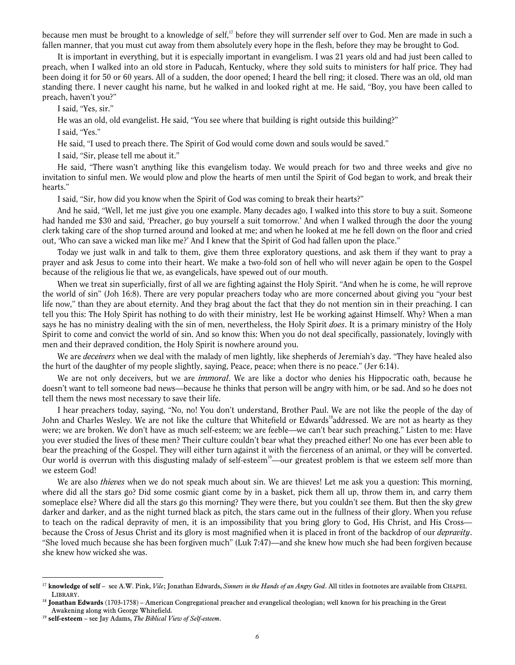because men must be brought to a knowledge of self,<sup>17</sup> before they will surrender self over to God. Men are made in such a fallen manner, that you must cut away from them absolutely every hope in the flesh, before they may be brought to God.

It is important in everything, but it is especially important in evangelism. I was 21 years old and had just been called to preach, when I walked into an old store in Paducah, Kentucky, where they sold suits to ministers for half price. They had been doing it for 50 or 60 years. All of a sudden, the door opened; I heard the bell ring; it closed. There was an old, old man standing there. I never caught his name, but he walked in and looked right at me. He said, "Boy, you have been called to preach, haven't you?"

I said, "Yes, sir."

He was an old, old evangelist. He said, "You see where that building is right outside this building?"

I said, "Yes."

He said, "I used to preach there. The Spirit of God would come down and souls would be saved."

I said, "Sir, please tell me about it."

He said, "There wasn't anything like this evangelism today. We would preach for two and three weeks and give no invitation to sinful men. We would plow and plow the hearts of men until the Spirit of God began to work, and break their hearts."

I said, "Sir, how did you know when the Spirit of God was coming to break their hearts?"

And he said, "Well, let me just give you one example. Many decades ago, I walked into this store to buy a suit. Someone had handed me \$30 and said, 'Preacher, go buy yourself a suit tomorrow.' And when I walked through the door the young clerk taking care of the shop turned around and looked at me; and when he looked at me he fell down on the floor and cried out, 'Who can save a wicked man like me?' And I knew that the Spirit of God had fallen upon the place."

Today we just walk in and talk to them, give them three exploratory questions, and ask them if they want to pray a prayer and ask Jesus to come into their heart. We make a two-fold son of hell who will never again be open to the Gospel because of the religious lie that we, as evangelicals, have spewed out of our mouth.

When we treat sin superficially, first of all we are fighting against the Holy Spirit. "And when he is come, he will reprove the world of sin" (Joh 16:8). There are very popular preachers today who are more concerned about giving you "your best life now," than they are about eternity. And they brag about the fact that they do not mention sin in their preaching. I can tell you this: The Holy Spirit has nothing to do with their ministry, lest He be working against Himself. Why? When a man says he has no ministry dealing with the sin of men, nevertheless, the Holy Spirit *does*. It is a primary ministry of the Holy Spirit to come and convict the world of sin. And so know this: When you do not deal specifically, passionately, lovingly with men and their depraved condition, the Holy Spirit is nowhere around you.

We are *deceivers* when we deal with the malady of men lightly, like shepherds of Jeremiah's day. "They have healed also the hurt of the daughter of my people slightly, saying, Peace, peace; when there is no peace." (Jer 6:14).

We are not only deceivers, but we are *immoral*. We are like a doctor who denies his Hippocratic oath, because he doesn't want to tell someone bad news—because he thinks that person will be angry with him, or be sad. And so he does not tell them the news most necessary to save their life.

I hear preachers today, saying, "No, no! You don't understand, Brother Paul. We are not like the people of the day of John and Charles Wesley. We are not like the culture that Whitefield or Edwards<sup>18</sup>addressed. We are not as hearty as they were; we are broken. We don't have as much self-esteem; we are feeble—we can't bear such preaching." Listen to me: Have you ever studied the lives of these men? Their culture couldn't bear what they preached either! No one has ever been able to bear the preaching of the Gospel. They will either turn against it with the fierceness of an animal, or they will be converted. Our world is overrun with this disgusting malady of self-esteem<sup>19</sup>—our greatest problem is that we esteem self more than we esteem God!

We are also *thieves* when we do not speak much about sin. We are thieves! Let me ask you a question: This morning, where did all the stars go? Did some cosmic giant come by in a basket, pick them all up, throw them in, and carry them someplace else? Where did all the stars go this morning? They were there, but you couldn't see them. But then the sky grew darker and darker, and as the night turned black as pitch, the stars came out in the fullness of their glory. When you refuse to teach on the radical depravity of men, it is an impossibility that you bring glory to God, His Christ, and His Crossbecause the Cross of Jesus Christ and its glory is most magnified when it is placed in front of the backdrop of our *depravity*. "She loved much because she has been forgiven much" (Luk 7:47)—and she knew how much she had been forgiven because she knew how wicked she was.

 $^{17}$  knowledge of self – see A.W. Pink, Vile; Jonathan Edwards, Sinners in the Hands of an Angry God. All titles in footnotes are available from CHAPEL LIBRARY.

<sup>&</sup>lt;sup>18</sup> Jonathan Edwards (1703-1758) – American Congregational preacher and evangelical theologian; well known for his preaching in the Great Awakening along with George Whitefield.

 $19$  self-esteem – see Jay Adams, The Biblical View of Self-esteem.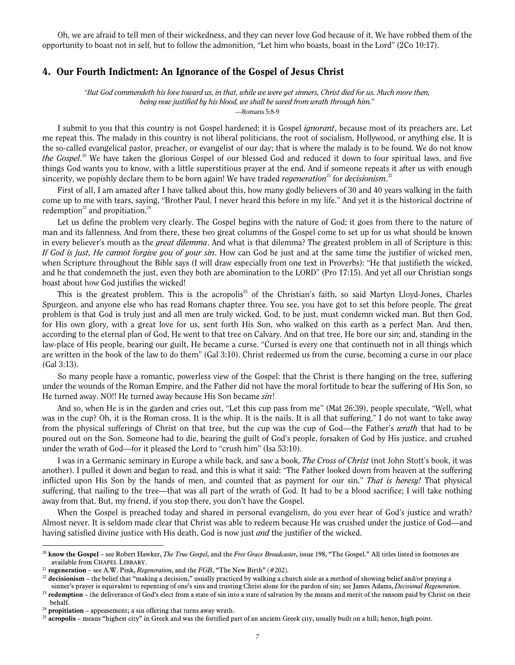Oh, we are afraid to tell men of their wickedness, and they can never love God because of it. We have robbed them of the opportunity to boast not in self, but to follow the admonition, "Let him who boasts, boast in the Lord" (2Co 10:17).

#### 4. Our Fourth Indictment: An Ignorance of the Gospel of Jesus Christ

"But God commendeth his love toward us, in that, while we were yet sinners, Christ died for us. Much more then, being now justified by his blood, we shall be saved from wrath through him."

—Romans 5:8-9

I submit to you that this country is not Gospel hardened; it is Gospel ignorant, because most of its preachers are. Let me repeat this. The malady in this country is not liberal politicians, the root of socialism, Hollywood, or anything else. It is the so-called evangelical pastor, preacher, or evangelist of our day; that is where the malady is to be found. We do not know the Gospel.<sup>20</sup> We have taken the glorious Gospel of our blessed God and reduced it down to four spiritual laws, and five things God wants you to know, with a little superstitious prayer at the end. And if someone repeats it after us with enough sincerity, we popishly declare them to be born again! We have traded *regeneration*<sup>21</sup> for *decisionism*.<sup>22</sup>

First of all, I am amazed after I have talked about this, how many godly believers of 30 and 40 years walking in the faith come up to me with tears, saying, "Brother Paul, I never heard this before in my life." And yet it is the historical doctrine of redemption<sup>23</sup> and propitiation.<sup>24</sup>

Let us define the problem very clearly. The Gospel begins with the nature of God; it goes from there to the nature of man and its fallenness. And from there, these two great columns of the Gospel come to set up for us what should be known in every believer's mouth as the *great dilemma*. And what is that dilemma? The greatest problem in all of Scripture is this: If God is just, He cannot forgive you of your sin. How can God be just and at the same time the justifier of wicked men, when Scripture throughout the Bible says (I will draw especially from one text in Proverbs): "He that justifieth the wicked, and he that condemneth the just, even they both are abomination to the LORD" (Pro 17:15). And yet all our Christian songs boast about how God justifies the wicked!

This is the greatest problem. This is the acropolis<sup>25</sup> of the Christian's faith, so said Martyn Lloyd-Jones, Charles Spurgeon, and anyone else who has read Romans chapter three. You see, you have got to set this before people. The great problem is that God is truly just and all men are truly wicked. God, to be just, must condemn wicked man. But then God, for His own glory, with a great love for us, sent forth His Son, who walked on this earth as a perfect Man. And then, according to the eternal plan of God, He went to that tree on Calvary. And on that tree, He bore our sin; and, standing in the law-place of His people, bearing our guilt, He became a curse. "Cursed is every one that continueth not in all things which are written in the book of the law to do them" (Gal 3:10). Christ redeemed us from the curse, becoming a curse in our place (Gal 3:13).

So many people have a romantic, powerless view of the Gospel: that the Christ is there hanging on the tree, suffering under the wounds of the Roman Empire, and the Father did not have the moral fortitude to bear the suffering of His Son, so He turned away. NO!! He turned away because His Son became sin!

And so, when He is in the garden and cries out, "Let this cup pass from me" (Mat 26:39), people speculate, "Well, what was in the cup? Oh, it is the Roman cross. It is the whip. It is the nails. It is all that suffering." I do not want to take away from the physical sufferings of Christ on that tree, but the cup was the cup of God—the Father's wrath that had to be poured out on the Son. Someone had to die, bearing the guilt of God's people, forsaken of God by His justice, and crushed under the wrath of God—for it pleased the Lord to "crush him" (Isa 53:10).

I was in a Germanic seminary in Europe a while back, and saw a book, *The Cross of Christ* (not John Stott's book, it was another). I pulled it down and began to read, and this is what it said: "The Father looked down from heaven at the suffering inflicted upon His Son by the hands of men, and counted that as payment for our sin." That is heresy! That physical suffering, that nailing to the tree—that was all part of the wrath of God. It had to be a blood sacrifice; I will take nothing away from that. But, my friend, if you stop there, you don't have the Gospel.

When the Gospel is preached today and shared in personal evangelism, do you ever hear of God's justice and wrath? Almost never. It is seldom made clear that Christ was able to redeem because He was crushed under the justice of God—and having satisfied divine justice with His death, God is now just *and* the justifier of the wicked.

<sup>&</sup>lt;sup>20</sup> know the Gospel – see Robert Hawker, *The True Gospel*, and the Free Grace Broadcaster, issue 198, "The Gospel." All titles listed in footnotes are available from CHAPEL LIBRARY.

<sup>&</sup>lt;sup>21</sup> regeneration – see A.W. Pink, *Regeneration*, and the  $FGB$ , "The New Birth" (#202).

 $^{22}$  decisionism – the belief that "making a decision," usually practiced by walking a church aisle as a method of showing belief and/or praying a

sinner's prayer is equivalent to repenting of one's sins and trusting Christ alone for the pardon of sin; see James Adams, Decisional Regeneration.

 $^{23}$  redemption – the deliverance of God's elect from a state of sin into a state of salvation by the means and merit of the ransom paid by Christ on their behalf.

 $^{24}$  propitiation – appeasement; a sin offering that turns away wrath.

 $^{25}$  acropolis – means "highest city" in Greek and was the fortified part of an ancient Greek city, usually built on a hill; hence, high point.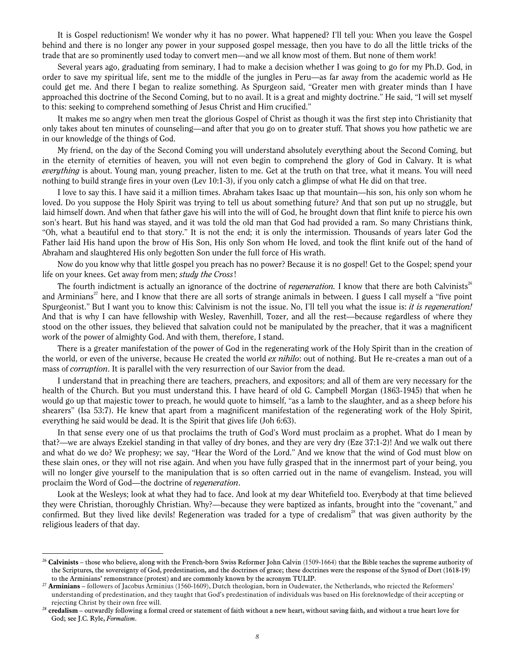It is Gospel reductionism! We wonder why it has no power. What happened? I'll tell you: When you leave the Gospel behind and there is no longer any power in your supposed gospel message, then you have to do all the little tricks of the trade that are so prominently used today to convert men—and we all know most of them. But none of them work!

Several years ago, graduating from seminary, I had to make a decision whether I was going to go for my Ph.D. God, in order to save my spiritual life, sent me to the middle of the jungles in Peru—as far away from the academic world as He could get me. And there I began to realize something. As Spurgeon said, "Greater men with greater minds than I have approached this doctrine of the Second Coming, but to no avail. It is a great and mighty doctrine." He said, "I will set myself to this: seeking to comprehend something of Jesus Christ and Him crucified."

It makes me so angry when men treat the glorious Gospel of Christ as though it was the first step into Christianity that only takes about ten minutes of counseling—and after that you go on to greater stuff. That shows you how pathetic we are in our knowledge of the things of God.

My friend, on the day of the Second Coming you will understand absolutely everything about the Second Coming, but in the eternity of eternities of heaven, you will not even begin to comprehend the glory of God in Calvary. It is what everything is about. Young man, young preacher, listen to me. Get at the truth on that tree, what it means. You will need nothing to build strange fires in your oven (Lev 10:1-3), if you only catch a glimpse of what He did on that tree.

I love to say this. I have said it a million times. Abraham takes Isaac up that mountain—his son, his only son whom he loved. Do you suppose the Holy Spirit was trying to tell us about something future? And that son put up no struggle, but laid himself down. And when that father gave his will into the will of God, he brought down that flint knife to pierce his own son's heart. But his hand was stayed, and it was told the old man that God had provided a ram. So many Christians think, "Oh, what a beautiful end to that story." It is not the end; it is only the intermission. Thousands of years later God the Father laid His hand upon the brow of His Son, His only Son whom He loved, and took the flint knife out of the hand of Abraham and slaughtered His only begotten Son under the full force of His wrath.

Now do you know why that little gospel you preach has no power? Because it is no gospel! Get to the Gospel; spend your life on your knees. Get away from men; *study the Cross!* 

The fourth indictment is actually an ignorance of the doctrine of *regeneration*. I know that there are both Calvinists<sup>26</sup> and Arminians<sup>27</sup> here, and I know that there are all sorts of strange animals in between. I guess I call myself a "five point Spurgeonist." But I want you to know this: Calvinism is not the issue. No, I'll tell you what the issue is: *it is regeneration!* And that is why I can have fellowship with Wesley, Ravenhill, Tozer, and all the rest—because regardless of where they stood on the other issues, they believed that salvation could not be manipulated by the preacher, that it was a magnificent work of the power of almighty God. And with them, therefore, I stand.

There is a greater manifestation of the power of God in the regenerating work of the Holy Spirit than in the creation of the world, or even of the universe, because He created the world ex nihilo: out of nothing. But He re-creates a man out of a mass of corruption. It is parallel with the very resurrection of our Savior from the dead.

I understand that in preaching there are teachers, preachers, and expositors; and all of them are very necessary for the health of the Church. But you must understand this. I have heard of old G. Campbell Morgan (1863-1945) that when he would go up that majestic tower to preach, he would quote to himself, "as a lamb to the slaughter, and as a sheep before his shearers" (Isa 53:7). He knew that apart from a magnificent manifestation of the regenerating work of the Holy Spirit, everything he said would be dead. It is the Spirit that gives life (Joh 6:63).

In that sense every one of us that proclaims the truth of God's Word must proclaim as a prophet. What do I mean by that?—we are always Ezekiel standing in that valley of dry bones, and they are very dry (Eze 37:1-2)! And we walk out there and what do we do? We prophesy; we say, "Hear the Word of the Lord." And we know that the wind of God must blow on these slain ones, or they will not rise again. And when you have fully grasped that in the innermost part of your being, you will no longer give yourself to the manipulation that is so often carried out in the name of evangelism. Instead, you will proclaim the Word of God—the doctrine of regeneration.

Look at the Wesleys; look at what they had to face. And look at my dear Whitefield too. Everybody at that time believed they were Christian, thoroughly Christian. Why?—because they were baptized as infants, brought into the "covenant," and confirmed. But they lived like devils! Regeneration was traded for a type of credalism<sup>28</sup> that was given authority by the religious leaders of that day.

 $^{26}$  Calvinists – those who believe, along with the French-born Swiss Reformer John Calvin (1509-1664) that the Bible teaches the supreme authority of the Scriptures, the sovereignty of God, predestination, and the doctrines of grace; these doctrines were the response of the Synod of Dort (1618-19) to the Arminians' remonstrance (protest) and are commonly known by the acronym TULIP.

<sup>&</sup>lt;sup>27</sup> Arminians – followers of Jacobus Arminius (1560-1609), Dutch theologian, born in Oudewater, the Netherlands, who rejected the Reformers' understanding of predestination, and they taught that God's predestination of individuals was based on His foreknowledge of their accepting or rejecting Christ by their own free will.

 $28$  credalism – outwardly following a formal creed or statement of faith without a new heart, without saving faith, and without a true heart love for God; see J.C. Ryle, Formalism.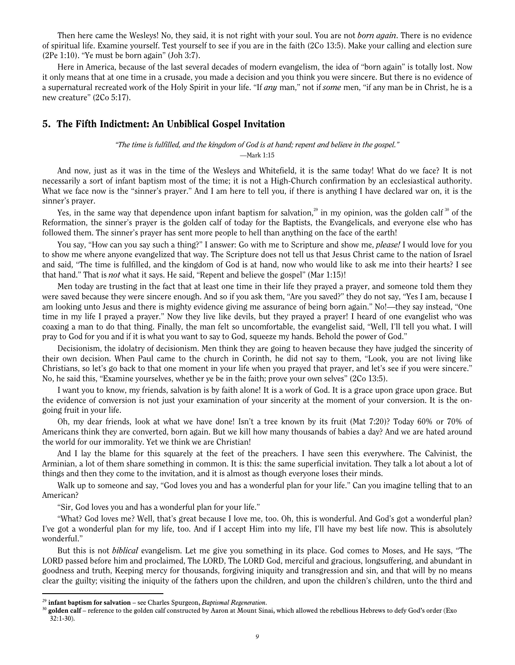Then here came the Wesleys! No, they said, it is not right with your soul. You are not *born again*. There is no evidence of spiritual life. Examine yourself. Test yourself to see if you are in the faith (2Co 13:5). Make your calling and election sure (2Pe 1:10). "Ye must be born again" (Joh 3:7).

Here in America, because of the last several decades of modern evangelism, the idea of "born again" is totally lost. Now it only means that at one time in a crusade, you made a decision and you think you were sincere. But there is no evidence of a supernatural recreated work of the Holy Spirit in your life. "If *any* man," not if some men, "if any man be in Christ, he is a new creature" (2Co 5:17).

#### 5. The Fifth Indictment: An Unbiblical Gospel Invitation

"The time is fulfilled, and the kingdom of God is at hand; repent and believe in the gospel." —Mark 1:15

And now, just as it was in the time of the Wesleys and Whitefield, it is the same today! What do we face? It is not necessarily a sort of infant baptism most of the time; it is not a High-Church confirmation by an ecclesiastical authority. What we face now is the "sinner's prayer." And I am here to tell you, if there is anything I have declared war on, it is the sinner's prayer.

Yes, in the same way that dependence upon infant baptism for salvation,<sup>29</sup> in my opinion, was the golden calf  $^{30}$  of the Reformation, the sinner's prayer is the golden calf of today for the Baptists, the Evangelicals, and everyone else who has followed them. The sinner's prayer has sent more people to hell than anything on the face of the earth!

You say, "How can you say such a thing?" I answer: Go with me to Scripture and show me, please! I would love for you to show me where anyone evangelized that way. The Scripture does not tell us that Jesus Christ came to the nation of Israel and said, "The time is fulfilled, and the kingdom of God is at hand, now who would like to ask me into their hearts? I see that hand." That is not what it says. He said, "Repent and believe the gospel" (Mar 1:15)!

Men today are trusting in the fact that at least one time in their life they prayed a prayer, and someone told them they were saved because they were sincere enough. And so if you ask them, "Are you saved?" they do not say, "Yes I am, because I am looking unto Jesus and there is mighty evidence giving me assurance of being born again." No!—they say instead, "One time in my life I prayed a prayer." Now they live like devils, but they prayed a prayer! I heard of one evangelist who was coaxing a man to do that thing. Finally, the man felt so uncomfortable, the evangelist said, "Well, I'll tell you what. I will pray to God for you and if it is what you want to say to God, squeeze my hands. Behold the power of God."

Decisionism, the idolatry of decisionism. Men think they are going to heaven because they have judged the sincerity of their own decision. When Paul came to the church in Corinth, he did not say to them, "Look, you are not living like Christians, so let's go back to that one moment in your life when you prayed that prayer, and let's see if you were sincere." No, he said this, "Examine yourselves, whether ye be in the faith; prove your own selves" (2Co 13:5).

I want you to know, my friends, salvation is by faith alone! It is a work of God. It is a grace upon grace upon grace. But the evidence of conversion is not just your examination of your sincerity at the moment of your conversion. It is the ongoing fruit in your life.

Oh, my dear friends, look at what we have done! Isn't a tree known by its fruit (Mat 7:20)? Today 60% or 70% of Americans think they are converted, born again. But we kill how many thousands of babies a day? And we are hated around the world for our immorality. Yet we think we are Christian!

And I lay the blame for this squarely at the feet of the preachers. I have seen this everywhere. The Calvinist, the Arminian, a lot of them share something in common. It is this: the same superficial invitation. They talk a lot about a lot of things and then they come to the invitation, and it is almost as though everyone loses their minds.

Walk up to someone and say, "God loves you and has a wonderful plan for your life." Can you imagine telling that to an American?

"Sir, God loves you and has a wonderful plan for your life."

"What? God loves me? Well, that's great because I love me, too. Oh, this is wonderful. And God's got a wonderful plan? I've got a wonderful plan for my life, too. And if I accept Him into my life, I'll have my best life now. This is absolutely wonderful."

But this is not *biblical* evangelism. Let me give you something in its place. God comes to Moses, and He says, "The LORD passed before him and proclaimed, The LORD, The LORD God, merciful and gracious, longsuffering, and abundant in goodness and truth, Keeping mercy for thousands, forgiving iniquity and transgression and sin, and that will by no means clear the guilty; visiting the iniquity of the fathers upon the children, and upon the children's children, unto the third and

<sup>&</sup>lt;sup>29</sup> infant baptism for salvation – see Charles Spurgeon, *Baptismal Regeneration*.

 $30$  golden calf – reference to the golden calf constructed by Aaron at Mount Sinai, which allowed the rebellious Hebrews to defy God's order (Exo 32:1-30).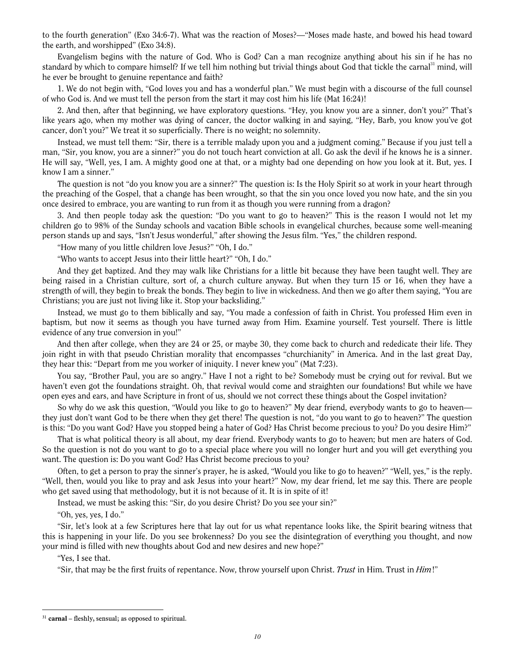to the fourth generation" (Exo 34:6-7). What was the reaction of Moses?—"Moses made haste, and bowed his head toward the earth, and worshipped" (Exo 34:8).

Evangelism begins with the nature of God. Who is God? Can a man recognize anything about his sin if he has no standard by which to compare himself? If we tell him nothing but trivial things about God that tickle the carnal<sup>31</sup> mind, will he ever be brought to genuine repentance and faith?

1. We do not begin with, "God loves you and has a wonderful plan." We must begin with a discourse of the full counsel of who God is. And we must tell the person from the start it may cost him his life (Mat 16:24)!

2. And then, after that beginning, we have exploratory questions. "Hey, you know you are a sinner, don't you?" That's like years ago, when my mother was dying of cancer, the doctor walking in and saying, "Hey, Barb, you know you've got cancer, don't you?" We treat it so superficially. There is no weight; no solemnity.

Instead, we must tell them: "Sir, there is a terrible malady upon you and a judgment coming." Because if you just tell a man, "Sir, you know, you are a sinner?" you do not touch heart conviction at all. Go ask the devil if he knows he is a sinner. He will say, "Well, yes, I am. A mighty good one at that, or a mighty bad one depending on how you look at it. But, yes. I know I am a sinner."

The question is not "do you know you are a sinner?" The question is: Is the Holy Spirit so at work in your heart through the preaching of the Gospel, that a change has been wrought, so that the sin you once loved you now hate, and the sin you once desired to embrace, you are wanting to run from it as though you were running from a dragon?

3. And then people today ask the question: "Do you want to go to heaven?" This is the reason I would not let my children go to 98% of the Sunday schools and vacation Bible schools in evangelical churches, because some well-meaning person stands up and says, "Isn't Jesus wonderful," after showing the Jesus film. "Yes," the children respond.

"How many of you little children love Jesus?" "Oh, I do."

"Who wants to accept Jesus into their little heart?" "Oh, I do."

And they get baptized. And they may walk like Christians for a little bit because they have been taught well. They are being raised in a Christian culture, sort of, a church culture anyway. But when they turn 15 or 16, when they have a strength of will, they begin to break the bonds. They begin to live in wickedness. And then we go after them saying, "You are Christians; you are just not living like it. Stop your backsliding."

Instead, we must go to them biblically and say, "You made a confession of faith in Christ. You professed Him even in baptism, but now it seems as though you have turned away from Him. Examine yourself. Test yourself. There is little evidence of any true conversion in you!"

And then after college, when they are 24 or 25, or maybe 30, they come back to church and rededicate their life. They join right in with that pseudo Christian morality that encompasses "churchianity" in America. And in the last great Day, they hear this: "Depart from me you worker of iniquity. I never knew you" (Mat 7:23).

You say, "Brother Paul, you are so angry." Have I not a right to be? Somebody must be crying out for revival. But we haven't even got the foundations straight. Oh, that revival would come and straighten our foundations! But while we have open eyes and ears, and have Scripture in front of us, should we not correct these things about the Gospel invitation?

So why do we ask this question, "Would you like to go to heaven?" My dear friend, everybody wants to go to heaven they just don't want God to be there when they get there! The question is not, "do you want to go to heaven?" The question is this: "Do you want God? Have you stopped being a hater of God? Has Christ become precious to you? Do you desire Him?"

That is what political theory is all about, my dear friend. Everybody wants to go to heaven; but men are haters of God. So the question is not do you want to go to a special place where you will no longer hurt and you will get everything you want. The question is: Do you want God? Has Christ become precious to you?

Often, to get a person to pray the sinner's prayer, he is asked, "Would you like to go to heaven?" "Well, yes," is the reply. "Well, then, would you like to pray and ask Jesus into your heart?" Now, my dear friend, let me say this. There are people who get saved using that methodology, but it is not because of it. It is in spite of it!

Instead, we must be asking this: "Sir, do you desire Christ? Do you see your sin?"

"Oh, yes, yes, I do."

"Sir, let's look at a few Scriptures here that lay out for us what repentance looks like, the Spirit bearing witness that this is happening in your life. Do you see brokenness? Do you see the disintegration of everything you thought, and now your mind is filled with new thoughts about God and new desires and new hope?"

"Yes, I see that.

 $\overline{a}$ 

"Sir, that may be the first fruits of repentance. Now, throw yourself upon Christ. Trust in Him. Trust in Him!"

 $31$  carnal – fleshly, sensual; as opposed to spiritual.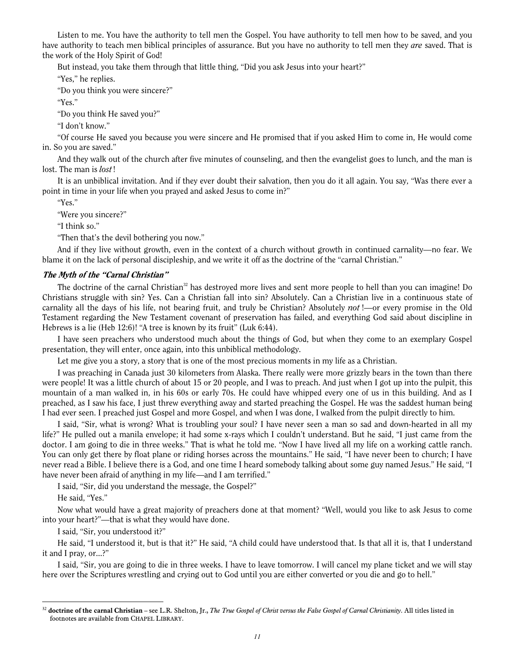Listen to me. You have the authority to tell men the Gospel. You have authority to tell men how to be saved, and you have authority to teach men biblical principles of assurance. But you have no authority to tell men they are saved. That is the work of the Holy Spirit of God!

But instead, you take them through that little thing, "Did you ask Jesus into your heart?"

"Yes," he replies.

"Do you think you were sincere?"

"Yes."

"Do you think He saved you?"

"I don't know."

"Of course He saved you because you were sincere and He promised that if you asked Him to come in, He would come in. So you are saved."

And they walk out of the church after five minutes of counseling, and then the evangelist goes to lunch, and the man is lost. The man is *lost*!

It is an unbiblical invitation. And if they ever doubt their salvation, then you do it all again. You say, "Was there ever a point in time in your life when you prayed and asked Jesus to come in?"

"Yes."

"Were you sincere?"

"I think so."

"Then that's the devil bothering you now."

And if they live without growth, even in the context of a church without growth in continued carnality—no fear. We blame it on the lack of personal discipleship, and we write it off as the doctrine of the "carnal Christian."

#### The Myth of the "Carnal Christian"

The doctrine of the carnal Christian<sup>32</sup> has destroyed more lives and sent more people to hell than you can imagine! Do Christians struggle with sin? Yes. Can a Christian fall into sin? Absolutely. Can a Christian live in a continuous state of carnality all the days of his life, not bearing fruit, and truly be Christian? Absolutely not !—or every promise in the Old Testament regarding the New Testament covenant of preservation has failed, and everything God said about discipline in Hebrews is a lie (Heb 12:6)! "A tree is known by its fruit" (Luk 6:44).

I have seen preachers who understood much about the things of God, but when they come to an exemplary Gospel presentation, they will enter, once again, into this unbiblical methodology.

Let me give you a story, a story that is one of the most precious moments in my life as a Christian.

I was preaching in Canada just 30 kilometers from Alaska. There really were more grizzly bears in the town than there were people! It was a little church of about 15 or 20 people, and I was to preach. And just when I got up into the pulpit, this mountain of a man walked in, in his 60s or early 70s. He could have whipped every one of us in this building. And as I preached, as I saw his face, I just threw everything away and started preaching the Gospel. He was the saddest human being I had ever seen. I preached just Gospel and more Gospel, and when I was done, I walked from the pulpit directly to him.

I said, "Sir, what is wrong? What is troubling your soul? I have never seen a man so sad and down-hearted in all my life?" He pulled out a manila envelope; it had some x-rays which I couldn't understand. But he said, "I just came from the doctor. I am going to die in three weeks." That is what he told me. "Now I have lived all my life on a working cattle ranch. You can only get there by float plane or riding horses across the mountains." He said, "I have never been to church; I have never read a Bible. I believe there is a God, and one time I heard somebody talking about some guy named Jesus." He said, "I have never been afraid of anything in my life—and I am terrified."

I said, "Sir, did you understand the message, the Gospel?"

He said, "Yes."

 $\overline{a}$ 

Now what would have a great majority of preachers done at that moment? "Well, would you like to ask Jesus to come into your heart?"—that is what they would have done.

I said, "Sir, you understood it?"

He said, "I understood it, but is that it?" He said, "A child could have understood that. Is that all it is, that I understand it and I pray, or...?"

I said, "Sir, you are going to die in three weeks. I have to leave tomorrow. I will cancel my plane ticket and we will stay here over the Scriptures wrestling and crying out to God until you are either converted or you die and go to hell."

 $32$  doctrine of the carnal Christian – see L.R. Shelton, Jr., The True Gospel of Christ versus the False Gospel of Carnal Christianity. All titles listed in footnotes are available from CHAPEL LIBRARY.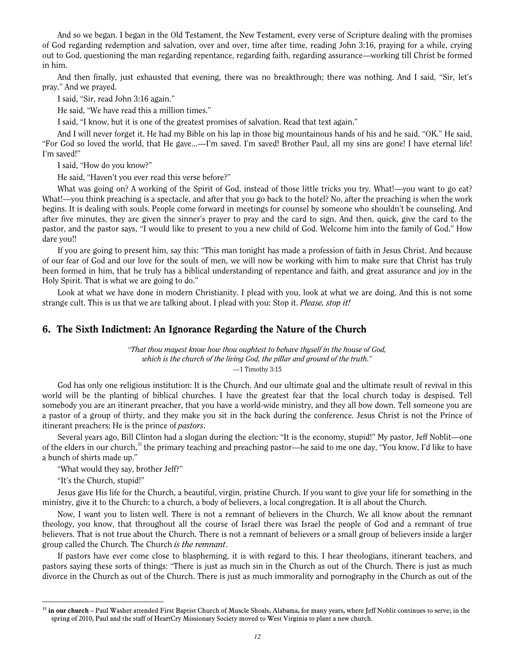And so we began. I began in the Old Testament, the New Testament, every verse of Scripture dealing with the promises of God regarding redemption and salvation, over and over, time after time, reading John 3:16, praying for a while, crying out to God, questioning the man regarding repentance, regarding faith, regarding assurance—working till Christ be formed in him.

And then finally, just exhausted that evening, there was no breakthrough; there was nothing. And I said, "Sir, let's pray." And we prayed.

I said, "Sir, read John 3:16 again."

He said, "We have read this a million times."

I said, "I know, but it is one of the greatest promises of salvation. Read that text again."

And I will never forget it. He had my Bible on his lap in those big mountainous hands of his and he said, "OK." He said, "For God so loved the world, that He gave...—I'm saved. I'm saved! Brother Paul, all my sins are gone! I have eternal life! I'm saved!"

I said, "How do you know?"

He said, "Haven't you ever read this verse before?"

What was going on? A working of the Spirit of God, instead of those little tricks you try. What!—you want to go eat? What!—you think preaching is a spectacle, and after that you go back to the hotel? No, after the preaching is when the work begins. It is dealing with souls. People come forward in meetings for counsel by someone who shouldn't be counseling. And after five minutes, they are given the sinner's prayer to pray and the card to sign. And then, quick, give the card to the pastor, and the pastor says, "I would like to present to you a new child of God. Welcome him into the family of God." How dare you!!

If you are going to present him, say this: "This man tonight has made a profession of faith in Jesus Christ. And because of our fear of God and our love for the souls of men, we will now be working with him to make sure that Christ has truly been formed in him, that he truly has a biblical understanding of repentance and faith, and great assurance and joy in the Holy Spirit. That is what we are going to do."

Look at what we have done in modern Christianity. I plead with you, look at what we are doing. And this is not some strange cult. This is us that we are talking about. I plead with you: Stop it. Please, stop it!

#### 6. The Sixth Indictment: An Ignorance Regarding the Nature of the Church

"That thou mayest know how thou oughtest to behave thyself in the house of God, which is the church of the living God, the pillar and ground of the truth." —1 Timothy 3:15

God has only one religious institution: It is the Church. And our ultimate goal and the ultimate result of revival in this world will be the planting of biblical churches. I have the greatest fear that the local church today is despised. Tell somebody you are an itinerant preacher, that you have a world-wide ministry, and they all bow down. Tell someone you are a pastor of a group of thirty, and they make you sit in the back during the conference. Jesus Christ is not the Prince of itinerant preachers; He is the prince of pastors.

Several years ago, Bill Clinton had a slogan during the election: "It is the economy, stupid!" My pastor, Jeff Noblit—one of the elders in our church,<sup>33</sup> the primary teaching and preaching pastor—he said to me one day, "You know, I'd like to have a bunch of shirts made up."

"What would they say, brother Jeff?"

"It's the Church, stupid!"

 $\overline{a}$ 

Jesus gave His life for the Church, a beautiful, virgin, pristine Church. If you want to give your life for something in the ministry, give it to the Church: to a church, a body of believers, a local congregation. It is all about the Church.

Now, I want you to listen well. There is not a remnant of believers in the Church. We all know about the remnant theology, you know, that throughout all the course of Israel there was Israel the people of God and a remnant of true believers. That is not true about the Church. There is not a remnant of believers or a small group of believers inside a larger group called the Church. The Church is the remnant.

If pastors have ever come close to blaspheming, it is with regard to this. I hear theologians, itinerant teachers, and pastors saying these sorts of things: "There is just as much sin in the Church as out of the Church. There is just as much divorce in the Church as out of the Church. There is just as much immorality and pornography in the Church as out of the

<sup>&</sup>lt;sup>33</sup> in our church – Paul Washer attended First Baptist Church of Muscle Shoals, Alabama, for many years, where Jeff Noblit continues to serve; in the spring of 2010, Paul and the staff of HeartCry Missionary Society moved to West Virginia to plant a new church.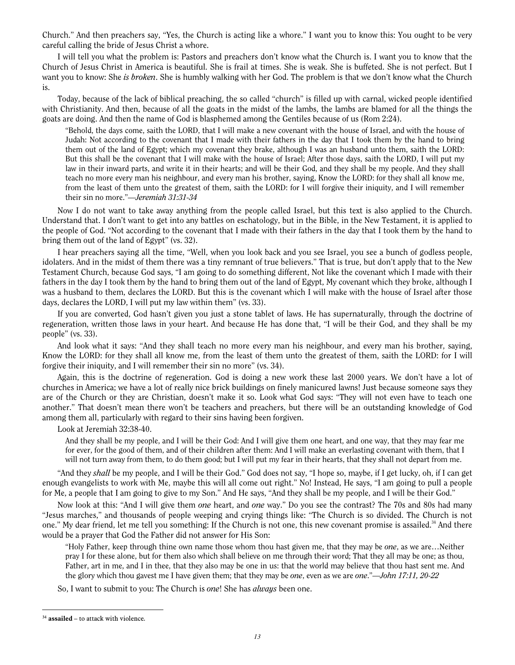Church." And then preachers say, "Yes, the Church is acting like a whore." I want you to know this: You ought to be very careful calling the bride of Jesus Christ a whore.

I will tell you what the problem is: Pastors and preachers don't know what the Church is. I want you to know that the Church of Jesus Christ in America is beautiful. She is frail at times. She is weak. She is buffeted. She is not perfect. But I want you to know: She *is broken*. She is humbly walking with her God. The problem is that we don't know what the Church is.

Today, because of the lack of biblical preaching, the so called "church" is filled up with carnal, wicked people identified with Christianity. And then, because of all the goats in the midst of the lambs, the lambs are blamed for all the things the goats are doing. And then the name of God is blasphemed among the Gentiles because of us (Rom 2:24).

"Behold, the days come, saith the LORD, that I will make a new covenant with the house of Israel, and with the house of Judah: Not according to the covenant that I made with their fathers in the day that I took them by the hand to bring them out of the land of Egypt; which my covenant they brake, although I was an husband unto them, saith the LORD: But this shall be the covenant that I will make with the house of Israel; After those days, saith the LORD, I will put my law in their inward parts, and write it in their hearts; and will be their God, and they shall be my people. And they shall teach no more every man his neighbour, and every man his brother, saying, Know the LORD: for they shall all know me, from the least of them unto the greatest of them, saith the LORD: for I will forgive their iniquity, and I will remember their sin no more."—Jeremiah 31:31-34

Now I do not want to take away anything from the people called Israel, but this text is also applied to the Church. Understand that. I don't want to get into any battles on eschatology, but in the Bible, in the New Testament, it is applied to the people of God. "Not according to the covenant that I made with their fathers in the day that I took them by the hand to bring them out of the land of Egypt" (vs. 32).

I hear preachers saying all the time, "Well, when you look back and you see Israel, you see a bunch of godless people, idolaters. And in the midst of them there was a tiny remnant of true believers." That is true, but don't apply that to the New Testament Church, because God says, "I am going to do something different, Not like the covenant which I made with their fathers in the day I took them by the hand to bring them out of the land of Egypt, My covenant which they broke, although I was a husband to them, declares the LORD. But this is the covenant which I will make with the house of Israel after those days, declares the LORD, I will put my law within them" (vs. 33).

If you are converted, God hasn't given you just a stone tablet of laws. He has supernaturally, through the doctrine of regeneration, written those laws in your heart. And because He has done that, "I will be their God, and they shall be my people" (vs. 33).

And look what it says: "And they shall teach no more every man his neighbour, and every man his brother, saying, Know the LORD: for they shall all know me, from the least of them unto the greatest of them, saith the LORD: for I will forgive their iniquity, and I will remember their sin no more" (vs. 34).

Again, this is the doctrine of regeneration. God is doing a new work these last 2000 years. We don't have a lot of churches in America; we have a lot of really nice brick buildings on finely manicured lawns! Just because someone says they are of the Church or they are Christian, doesn't make it so. Look what God says: "They will not even have to teach one another." That doesn't mean there won't be teachers and preachers, but there will be an outstanding knowledge of God among them all, particularly with regard to their sins having been forgiven.

#### Look at Jeremiah 32:38-40.

And they shall be my people, and I will be their God: And I will give them one heart, and one way, that they may fear me for ever, for the good of them, and of their children after them: And I will make an everlasting covenant with them, that I will not turn away from them, to do them good; but I will put my fear in their hearts, that they shall not depart from me.

"And they shall be my people, and I will be their God." God does not say, "I hope so, maybe, if I get lucky, oh, if I can get enough evangelists to work with Me, maybe this will all come out right." No! Instead, He says, "I am going to pull a people for Me, a people that I am going to give to my Son." And He says, "And they shall be my people, and I will be their God."

Now look at this: "And I will give them one heart, and one way." Do you see the contrast? The 70s and 80s had many "Jesus marches," and thousands of people weeping and crying things like: "The Church is so divided. The Church is not one." My dear friend, let me tell you something: If the Church is not one, this new covenant promise is assailed.<sup>34</sup> And there would be a prayer that God the Father did not answer for His Son:

"Holy Father, keep through thine own name those whom thou hast given me, that they may be one, as we are…Neither pray I for these alone, but for them also which shall believe on me through their word; That they all may be one; as thou, Father, art in me, and I in thee, that they also may be one in us: that the world may believe that thou hast sent me. And the glory which thou gavest me I have given them; that they may be one, even as we are one."—John 17:11, 20-22

So, I want to submit to you: The Church is *one*! She has *always* been one.

 $\overline{a}$  $34$  assailed – to attack with violence.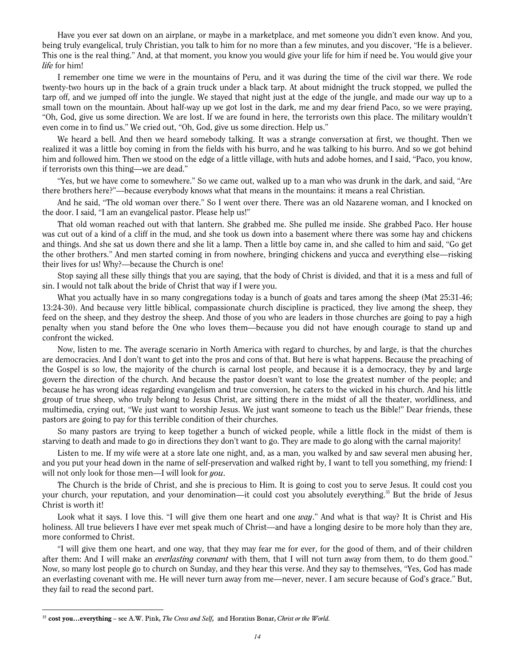Have you ever sat down on an airplane, or maybe in a marketplace, and met someone you didn't even know. And you, being truly evangelical, truly Christian, you talk to him for no more than a few minutes, and you discover, "He is a believer. This one is the real thing." And, at that moment, you know you would give your life for him if need be. You would give your life for him!

I remember one time we were in the mountains of Peru, and it was during the time of the civil war there. We rode twenty-two hours up in the back of a grain truck under a black tarp. At about midnight the truck stopped, we pulled the tarp off, and we jumped off into the jungle. We stayed that night just at the edge of the jungle, and made our way up to a small town on the mountain. About half-way up we got lost in the dark, me and my dear friend Paco, so we were praying, "Oh, God, give us some direction. We are lost. If we are found in here, the terrorists own this place. The military wouldn't even come in to find us." We cried out, "Oh, God, give us some direction. Help us."

We heard a bell. And then we heard somebody talking. It was a strange conversation at first, we thought. Then we realized it was a little boy coming in from the fields with his burro, and he was talking to his burro. And so we got behind him and followed him. Then we stood on the edge of a little village, with huts and adobe homes, and I said, "Paco, you know, if terrorists own this thing—we are dead."

"Yes, but we have come to somewhere." So we came out, walked up to a man who was drunk in the dark, and said, "Are there brothers here?"—because everybody knows what that means in the mountains: it means a real Christian.

And he said, "The old woman over there." So I went over there. There was an old Nazarene woman, and I knocked on the door. I said, "I am an evangelical pastor. Please help us!"

That old woman reached out with that lantern. She grabbed me. She pulled me inside. She grabbed Paco. Her house was cut out of a kind of a cliff in the mud, and she took us down into a basement where there was some hay and chickens and things. And she sat us down there and she lit a lamp. Then a little boy came in, and she called to him and said, "Go get the other brothers." And men started coming in from nowhere, bringing chickens and yucca and everything else—risking their lives for us! Why?—because the Church is one!

Stop saying all these silly things that you are saying, that the body of Christ is divided, and that it is a mess and full of sin. I would not talk about the bride of Christ that way if I were you.

What you actually have in so many congregations today is a bunch of goats and tares among the sheep (Mat 25:31-46; 13:24-30). And because very little biblical, compassionate church discipline is practiced, they live among the sheep, they feed on the sheep, and they destroy the sheep. And those of you who are leaders in those churches are going to pay a high penalty when you stand before the One who loves them—because you did not have enough courage to stand up and confront the wicked.

Now, listen to me. The average scenario in North America with regard to churches, by and large, is that the churches are democracies. And I don't want to get into the pros and cons of that. But here is what happens. Because the preaching of the Gospel is so low, the majority of the church is carnal lost people, and because it is a democracy, they by and large govern the direction of the church. And because the pastor doesn't want to lose the greatest number of the people; and because he has wrong ideas regarding evangelism and true conversion, he caters to the wicked in his church. And his little group of true sheep, who truly belong to Jesus Christ, are sitting there in the midst of all the theater, worldliness, and multimedia, crying out, "We just want to worship Jesus. We just want someone to teach us the Bible!" Dear friends, these pastors are going to pay for this terrible condition of their churches.

So many pastors are trying to keep together a bunch of wicked people, while a little flock in the midst of them is starving to death and made to go in directions they don't want to go. They are made to go along with the carnal majority!

Listen to me. If my wife were at a store late one night, and, as a man, you walked by and saw several men abusing her, and you put your head down in the name of self-preservation and walked right by, I want to tell you something, my friend: I will not only look for those men—I will look for you.

The Church is the bride of Christ, and she is precious to Him. It is going to cost you to serve Jesus. It could cost you your church, your reputation, and your denomination—it could cost you absolutely everything.<sup>35</sup> But the bride of Jesus Christ is worth it!

Look what it says. I love this. "I will give them one heart and one way." And what is that way? It is Christ and His holiness. All true believers I have ever met speak much of Christ—and have a longing desire to be more holy than they are, more conformed to Christ.

"I will give them one heart, and one way, that they may fear me for ever, for the good of them, and of their children after them: And I will make an *everlasting covenant* with them, that I will not turn away from them, to do them good." Now, so many lost people go to church on Sunday, and they hear this verse. And they say to themselves, "Yes, God has made an everlasting covenant with me. He will never turn away from me—never, never. I am secure because of God's grace." But, they fail to read the second part.

 $35$  cost you...everything – see A.W. Pink, The Cross and Self, and Horatius Bonar, Christ or the World.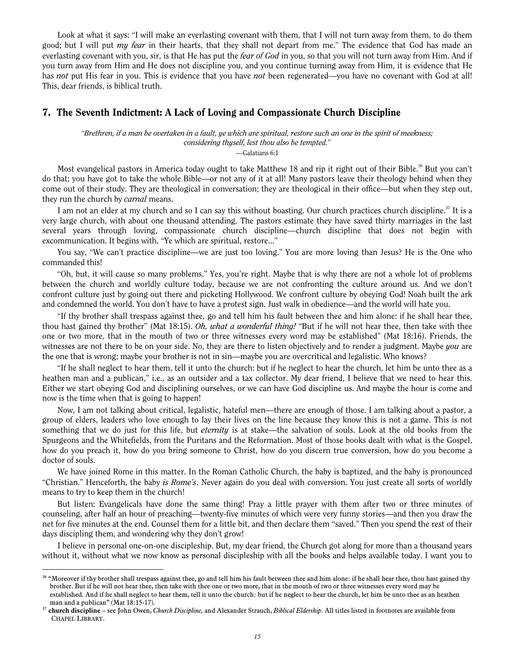Look at what it says: "I will make an everlasting covenant with them, that I will not turn away from them, to do them good; but I will put *my fear* in their hearts, that they shall not depart from me." The evidence that God has made an everlasting covenant with you, sir, is that He has put the fear of God in you, so that you will not turn away from Him. And if you turn away from Him and He does not discipline you, and you continue turning away from Him, it is evidence that He has not put His fear in you. This is evidence that you have not been regenerated—you have no covenant with God at all! This, dear friends, is biblical truth.

#### 7. The Seventh Indictment: A Lack of Loving and Compassionate Church Discipline

"Brethren, if a man be overtaken in a fault, ye which are spiritual, restore such an one in the spirit of meekness; considering thyself, lest thou also be tempted."

—Galatians 6:1

Most evangelical pastors in America today ought to take Matthew 18 and rip it right out of their Bible.<sup>36</sup> But you can't do that; you have got to take the whole Bible—or not any of it at all! Many pastors leave their theology behind when they come out of their study. They are theological in conversation; they are theological in their office—but when they step out, they run the church by *carnal* means.

I am not an elder at my church and so I can say this without boasting. Our church practices church discipline.<sup>37</sup> It is a very large church, with about one thousand attending. The pastors estimate they have saved thirty marriages in the last several years through loving, compassionate church discipline—church discipline that does not begin with excommunication. It begins with, "Ye which are spiritual, restore..."

You say, "We can't practice discipline—we are just too loving." You are more loving than Jesus? He is the One who commanded this!

"Oh, but, it will cause so many problems." Yes, you're right. Maybe that is why there are not a whole lot of problems between the church and worldly culture today, because we are not confronting the culture around us. And we don't confront culture just by going out there and picketing Hollywood. We confront culture by obeying God! Noah built the ark and condemned the world. You don't have to have a protest sign. Just walk in obedience—and the world will hate you.

"If thy brother shall trespass against thee, go and tell him his fault between thee and him alone: if he shall hear thee, thou hast gained thy brother" (Mat 18:15). Oh, what a wonderful thing! "But if he will not hear thee, then take with thee one or two more, that in the mouth of two or three witnesses every word may be established" (Mat 18:16). Friends, the witnesses are not there to be on your side. No, they are there to listen objectively and to render a judgment. Maybe you are the one that is wrong; maybe your brother is not in sin—maybe you are overcritical and legalistic. Who knows?

"If he shall neglect to hear them, tell it unto the church: but if he neglect to hear the church, let him be unto thee as a heathen man and a publican," i.e., as an outsider and a tax collector. My dear friend, I believe that we need to hear this. Either we start obeying God and disciplining ourselves, or we can have God discipline us. And maybe the hour is come and now is the time when that is going to happen!

Now, I am not talking about critical, legalistic, hateful men—there are enough of those. I am talking about a pastor, a group of elders, leaders who love enough to lay their lives on the line because they know this is not a game. This is not something that we do just for this life, but *eternity* is at stake—the salvation of souls. Look at the old books from the Spurgeons and the Whitefields, from the Puritans and the Reformation. Most of those books dealt with what is the Gospel, how do you preach it, how do you bring someone to Christ, how do you discern true conversion, how do you become a doctor of souls.

We have joined Rome in this matter. In the Roman Catholic Church, the baby is baptized, and the baby is pronounced "Christian." Henceforth, the baby is Rome's. Never again do you deal with conversion. You just create all sorts of worldly means to try to keep them in the church!

But listen: Evangelicals have done the same thing! Pray a little prayer with them after two or three minutes of counseling, after half an hour of preaching—twenty-five minutes of which were very funny stories—and then you draw the net for five minutes at the end. Counsel them for a little bit, and then declare them "saved." Then you spend the rest of their days discipling them, and wondering why they don't grow!

I believe in personal one-on-one discipleship. But, my dear friend, the Church got along for more than a thousand years without it, without what we now know as personal discipleship with all the books and helps available today. I want you to

<sup>&</sup>lt;sup>36</sup> "Moreover if thy brother shall trespass against thee, go and tell him his fault between thee and him alone: if he shall hear thee, thou hast gained thy brother. But if he will not hear thee, then take with thee one or two more, that in the mouth of two or three witnesses every word may be established. And if he shall neglect to hear them, tell it unto the church: but if he neglect to hear the church, let him be unto thee as an heathen man and a publican" (Mat 18:15-17).

<sup>&</sup>lt;sup>37</sup> church discipline – see John Owen, Church Discipline, and Alexander Strauch, Biblical Eldership. All titles listed in footnotes are available from CHAPEL LIBRARY.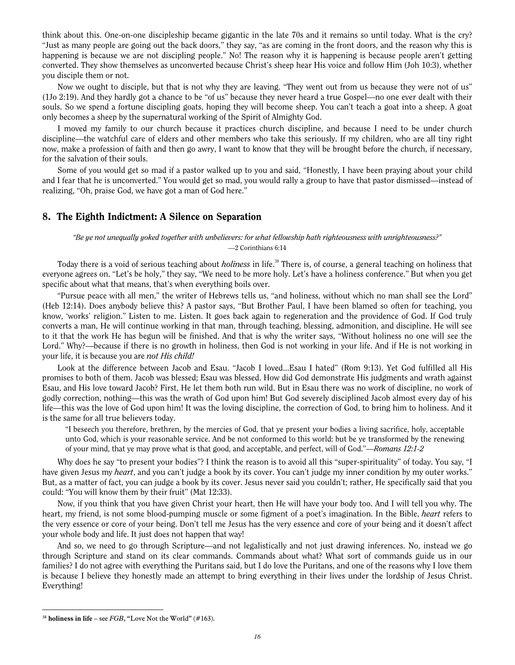think about this. One-on-one discipleship became gigantic in the late 70s and it remains so until today. What is the cry? "Just as many people are going out the back doors," they say, "as are coming in the front doors, and the reason why this is happening is because we are not discipling people." No! The reason why it is happening is because people aren't getting converted. They show themselves as unconverted because Christ's sheep hear His voice and follow Him (Joh 10:3), whether you disciple them or not.

Now we ought to disciple, but that is not why they are leaving. "They went out from us because they were not of us" (1Jo 2:19). And they hardly got a chance to be "of us" because they never heard a true Gospel—no one ever dealt with their souls. So we spend a fortune discipling goats, hoping they will become sheep. You can't teach a goat into a sheep. A goat only becomes a sheep by the supernatural working of the Spirit of Almighty God.

I moved my family to our church because it practices church discipline, and because I need to be under church discipline—the watchful care of elders and other members who take this seriously. If my children, who are all tiny right now, make a profession of faith and then go awry, I want to know that they will be brought before the church, if necessary, for the salvation of their souls.

Some of you would get so mad if a pastor walked up to you and said, "Honestly, I have been praying about your child and I fear that he is unconverted." You would get so mad, you would rally a group to have that pastor dismissed—instead of realizing, "Oh, praise God, we have got a man of God here."

#### 8. The Eighth Indictment: A Silence on Separation

#### "Be ye not unequally yoked together with unbelievers: for what fellowship hath righteousness with unrighteousness?" —2 Corinthians 6:14

Today there is a void of serious teaching about *holiness* in life.<sup>38</sup> There is, of course, a general teaching on holiness that everyone agrees on. "Let's be holy," they say, "We need to be more holy. Let's have a holiness conference." But when you get specific about what that means, that's when everything boils over.

"Pursue peace with all men," the writer of Hebrews tells us, "and holiness, without which no man shall see the Lord" (Heb 12:14). Does anybody believe this? A pastor says, "But Brother Paul, I have been blamed so often for teaching, you know, 'works' religion." Listen to me. Listen. It goes back again to regeneration and the providence of God. If God truly converts a man, He will continue working in that man, through teaching, blessing, admonition, and discipline. He will see to it that the work He has begun will be finished. And that is why the writer says, "Without holiness no one will see the Lord." Why?—because if there is no growth in holiness, then God is not working in your life. And if He is not working in your life, it is because you are not His child!

Look at the difference between Jacob and Esau. "Jacob I loved...Esau I hated" (Rom 9:13). Yet God fulfilled all His promises to both of them. Jacob was blessed; Esau was blessed. How did God demonstrate His judgments and wrath against Esau, and His love toward Jacob? First, He let them both run wild. But in Esau there was no work of discipline, no work of godly correction, nothing—this was the wrath of God upon him! But God severely disciplined Jacob almost every day of his life—this was the love of God upon him! It was the loving discipline, the correction of God, to bring him to holiness. And it is the same for all true believers today.

"I beseech you therefore, brethren, by the mercies of God, that ye present your bodies a living sacrifice, holy, acceptable unto God, which is your reasonable service. And be not conformed to this world: but be ye transformed by the renewing of your mind, that ye may prove what is that good, and acceptable, and perfect, will of God."—Romans 12:1-2

Why does he say "to present your bodies"? I think the reason is to avoid all this "super-spirituality" of today. You say, "I have given Jesus my *heart*, and you can't judge a book by its cover. You can't judge my inner condition by my outer works." But, as a matter of fact, you can judge a book by its cover. Jesus never said you couldn't; rather, He specifically said that you could: "You will know them by their fruit" (Mat 12:33).

Now, if you think that you have given Christ your heart, then He will have your body too. And I will tell you why. The heart, my friend, is not some blood-pumping muscle or some figment of a poet's imagination. In the Bible, *heart* refers to the very essence or core of your being. Don't tell me Jesus has the very essence and core of your being and it doesn't affect your whole body and life. It just does not happen that way!

And so, we need to go through Scripture—and not legalistically and not just drawing inferences. No, instead we go through Scripture and stand on its clear commands. Commands about what? What sort of commands guide us in our families? I do not agree with everything the Puritans said, but I do love the Puritans, and one of the reasons why I love them is because I believe they honestly made an attempt to bring everything in their lives under the lordship of Jesus Christ. Everything!

<sup>&</sup>lt;sup>38</sup> holiness in life – see FGB, "Love Not the World" (#163).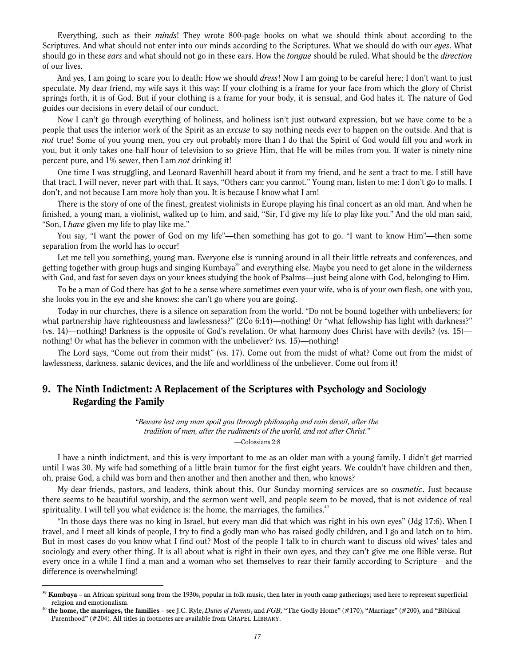Everything, such as their minds! They wrote 800-page books on what we should think about according to the Scriptures. And what should not enter into our minds according to the Scriptures. What we should do with our eyes. What should go in these *ears* and what should not go in these ears. How the *tongue* should be ruled. What should be the *direction* of our lives.

And yes, I am going to scare you to death: How we should *dress!* Now I am going to be careful here; I don't want to just speculate. My dear friend, my wife says it this way: If your clothing is a frame for your face from which the glory of Christ springs forth, it is of God. But if your clothing is a frame for your body, it is sensual, and God hates it. The nature of God guides our decisions in every detail of our conduct.

Now I can't go through everything of holiness, and holiness isn't just outward expression, but we have come to be a people that uses the interior work of the Spirit as an *excuse* to say nothing needs ever to happen on the outside. And that is not true! Some of you young men, you cry out probably more than I do that the Spirit of God would fill you and work in you, but it only takes one-half hour of television to so grieve Him, that He will be miles from you. If water is ninety-nine percent pure, and 1% sewer, then I am not drinking it!

One time I was struggling, and Leonard Ravenhill heard about it from my friend, and he sent a tract to me. I still have that tract. I will never, never part with that. It says, "Others can; you cannot." Young man, listen to me: I don't go to malls. I don't, and not because I am more holy than you. It is because I know what I am!

There is the story of one of the finest, greatest violinists in Europe playing his final concert as an old man. And when he finished, a young man, a violinist, walked up to him, and said, "Sir, I'd give my life to play like you." And the old man said, "Son, I *have* given my life to play like me."

You say, "I want the power of God on my life"—then something has got to go. "I want to know Him"—then some separation from the world has to occur!

Let me tell you something, young man. Everyone else is running around in all their little retreats and conferences, and getting together with group hugs and singing Kumbaya<sup>39</sup> and everything else. Maybe you need to get alone in the wilderness with God, and fast for seven days on your knees studying the book of Psalms—just being alone with God, belonging to Him.

To be a man of God there has got to be a sense where sometimes even your wife, who is of your own flesh, one with you, she looks you in the eye and she knows: she can't go where you are going.

Today in our churches, there is a silence on separation from the world. "Do not be bound together with unbelievers; for what partnership have righteousness and lawlessness?" (2Co 6:14)—nothing! Or "what fellowship has light with darkness?" (vs. 14)—nothing! Darkness is the opposite of God's revelation. Or what harmony does Christ have with devils? (vs. 15) nothing! Or what has the believer in common with the unbeliever? (vs. 15)—nothing!

The Lord says, "Come out from their midst" (vs. 17). Come out from the midst of what? Come out from the midst of lawlessness, darkness, satanic devices, and the life and worldliness of the unbeliever. Come out from it!

#### 9. The Ninth Indictment: A Replacement of the Scriptures with Psychology and Sociology Regarding the Family

"Beware lest any man spoil you through philosophy and vain deceit, after the tradition of men, after the rudiments of the world, and not after Christ."

—Colossians 2:8

I have a ninth indictment, and this is very important to me as an older man with a young family. I didn't get married until I was 30. My wife had something of a little brain tumor for the first eight years. We couldn't have children and then, oh, praise God, a child was born and then another and then another and then, who knows?

My dear friends, pastors, and leaders, think about this. Our Sunday morning services are so *cosmetic*. Just because there seems to be beautiful worship, and the sermon went well, and people seem to be moved, that is not evidence of real spirituality. I will tell you what evidence is: the home, the marriages, the families.<sup>40</sup>

"In those days there was no king in Israel, but every man did that which was right in his own eyes" (Jdg 17:6). When I travel, and I meet all kinds of people, I try to find a godly man who has raised godly children, and I go and latch on to him. But in most cases do you know what I find out? Most of the people I talk to in church want to discuss old wives' tales and sociology and every other thing. It is all about what is right in their own eyes, and they can't give me one Bible verse. But every once in a while I find a man and a woman who set themselves to rear their family according to Scripture—and the difference is overwhelming!

 $39$  Kumbaya – an African spiritual song from the 1930s, popular in folk music, then later in youth camp gatherings; used here to represent superficial religion and emotionalism.

<sup>&</sup>lt;sup>40</sup> the home, the marriages, the families – see J.C. Ryle, *Duties of Parents*, and FGB, "The Godly Home" (#170), "Marriage" (#200), and "Biblical Parenthood" (#204). All titles in footnotes are available from CHAPEL LIBRARY.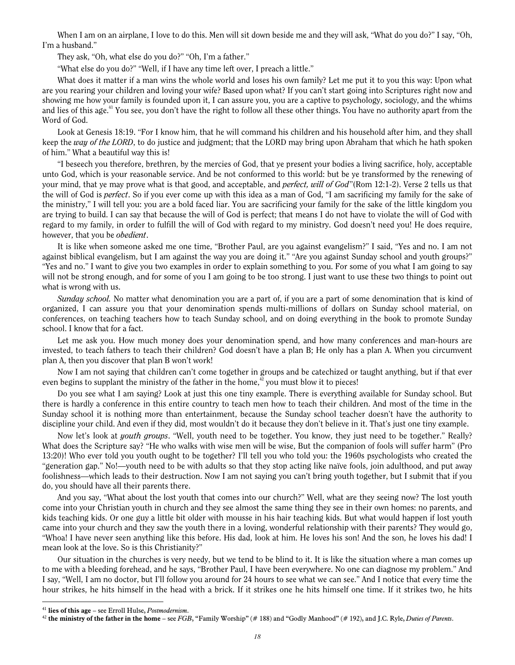When I am on an airplane, I love to do this. Men will sit down beside me and they will ask, "What do you do?" I say, "Oh, I'm a husband."

They ask, "Oh, what else do you do?" "Oh, I'm a father."

"What else do you do?" "Well, if I have any time left over, I preach a little."

What does it matter if a man wins the whole world and loses his own family? Let me put it to you this way: Upon what are you rearing your children and loving your wife? Based upon what? If you can't start going into Scriptures right now and showing me how your family is founded upon it, I can assure you, you are a captive to psychology, sociology, and the whims and lies of this age.<sup>41</sup> You see, you don't have the right to follow all these other things. You have no authority apart from the Word of God.

Look at Genesis 18:19. "For I know him, that he will command his children and his household after him, and they shall keep the way of the LORD, to do justice and judgment; that the LORD may bring upon Abraham that which he hath spoken of him." What a beautiful way this is!

"I beseech you therefore, brethren, by the mercies of God, that ye present your bodies a living sacrifice, holy, acceptable unto God, which is your reasonable service. And be not conformed to this world: but be ye transformed by the renewing of your mind, that ye may prove what is that good, and acceptable, and *perfect, will of God*"(Rom 12:1-2). Verse 2 tells us that the will of God is *perfect*. So if you ever come up with this idea as a man of God, "I am sacrificing my family for the sake of the ministry," I will tell you: you are a bold faced liar. You are sacrificing your family for the sake of the little kingdom you are trying to build. I can say that because the will of God is perfect; that means I do not have to violate the will of God with regard to my family, in order to fulfill the will of God with regard to my ministry. God doesn't need you! He does require, however, that you be *obedient*.

It is like when someone asked me one time, "Brother Paul, are you against evangelism?" I said, "Yes and no. I am not against biblical evangelism, but I am against the way you are doing it." "Are you against Sunday school and youth groups?" "Yes and no." I want to give you two examples in order to explain something to you. For some of you what I am going to say will not be strong enough, and for some of you I am going to be too strong. I just want to use these two things to point out what is wrong with us.

Sunday school. No matter what denomination you are a part of, if you are a part of some denomination that is kind of organized, I can assure you that your denomination spends multi-millions of dollars on Sunday school material, on conferences, on teaching teachers how to teach Sunday school, and on doing everything in the book to promote Sunday school. I know that for a fact.

Let me ask you. How much money does your denomination spend, and how many conferences and man-hours are invested, to teach fathers to teach their children? God doesn't have a plan B; He only has a plan A. When you circumvent plan A, then you discover that plan B won't work!

Now I am not saying that children can't come together in groups and be catechized or taught anything, but if that ever even begins to supplant the ministry of the father in the home,<sup> $42$ </sup> you must blow it to pieces!

Do you see what I am saying? Look at just this one tiny example. There is everything available for Sunday school. But there is hardly a conference in this entire country to teach men how to teach their children. And most of the time in the Sunday school it is nothing more than entertainment, because the Sunday school teacher doesn't have the authority to discipline your child. And even if they did, most wouldn't do it because they don't believe in it. That's just one tiny example.

Now let's look at *youth groups*. "Well, youth need to be together. You know, they just need to be together." Really? What does the Scripture say? "He who walks with wise men will be wise, But the companion of fools will suffer harm" (Pro 13:20)! Who ever told you youth ought to be together? I'll tell you who told you: the 1960s psychologists who created the "generation gap." No!—youth need to be with adults so that they stop acting like naïve fools, join adulthood, and put away foolishness—which leads to their destruction. Now I am not saying you can't bring youth together, but I submit that if you do, you should have all their parents there.

And you say, "What about the lost youth that comes into our church?" Well, what are they seeing now? The lost youth come into your Christian youth in church and they see almost the same thing they see in their own homes: no parents, and kids teaching kids. Or one guy a little bit older with mousse in his hair teaching kids. But what would happen if lost youth came into your church and they saw the youth there in a loving, wonderful relationship with their parents? They would go, "Whoa! I have never seen anything like this before. His dad, look at him. He loves his son! And the son, he loves his dad! I mean look at the love. So is this Christianity?"

Our situation in the churches is very needy, but we tend to be blind to it. It is like the situation where a man comes up to me with a bleeding forehead, and he says, "Brother Paul, I have been everywhere. No one can diagnose my problem." And I say, "Well, I am no doctor, but I'll follow you around for 24 hours to see what we can see." And I notice that every time the hour strikes, he hits himself in the head with a brick. If it strikes one he hits himself one time. If it strikes two, he hits

 $41$  lies of this age – see Erroll Hulse, *Postmodernism*.

<sup>&</sup>lt;sup>42</sup> the ministry of the father in the home – see FGB, "Family Worship" (# 188) and "Godly Manhood" (# 192), and J.C. Ryle, Duties of Parents.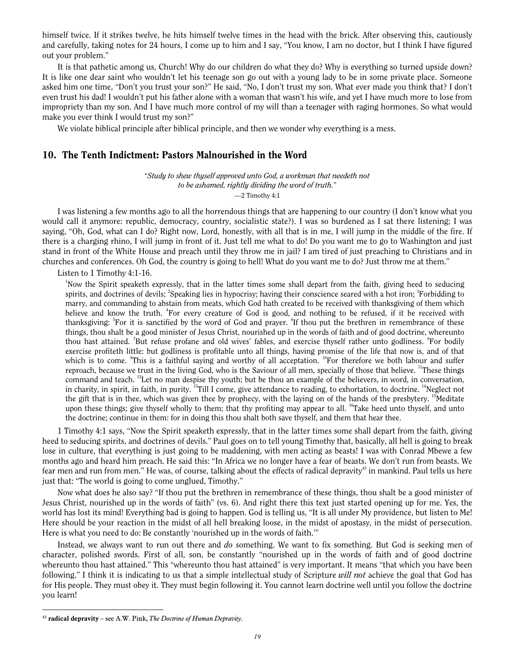himself twice. If it strikes twelve, he hits himself twelve times in the head with the brick. After observing this, cautiously and carefully, taking notes for 24 hours, I come up to him and I say, "You know, I am no doctor, but I think I have figured out your problem."

It is that pathetic among us, Church! Why do our children do what they do? Why is everything so turned upside down? It is like one dear saint who wouldn't let his teenage son go out with a young lady to be in some private place. Someone asked him one time, "Don't you trust your son?" He said, "No, I don't trust my son. What ever made you think that? I don't even trust his dad! I wouldn't put his father alone with a woman that wasn't his wife, and yet I have much more to lose from impropriety than my son. And I have much more control of my will than a teenager with raging hormones. So what would make you ever think I would trust my son?"

We violate biblical principle after biblical principle, and then we wonder why everything is a mess.

#### 10. The Tenth Indictment: Pastors Malnourished in the Word

"Study to shew thyself approved unto God, a workman that needeth not to be ashamed, rightly dividing the word of truth." —2 Timothy 4:1

I was listening a few months ago to all the horrendous things that are happening to our country (I don't know what you would call it anymore: republic, democracy, country, socialistic state?). I was so burdened as I sat there listening; I was saying, "Oh, God, what can I do? Right now, Lord, honestly, with all that is in me, I will jump in the middle of the fire. If there is a charging rhino, I will jump in front of it. Just tell me what to do! Do you want me to go to Washington and just stand in front of the White House and preach until they throw me in jail? I am tired of just preaching to Christians and in churches and conferences. Oh God, the country is going to hell! What do you want me to do? Just throw me at them."

Listen to 1 Timothy 4:1-16.

<sup>1</sup>Now the Spirit speaketh expressly, that in the latter times some shall depart from the faith, giving heed to seducing spirits, and doctrines of devils; <sup>2</sup>Speaking lies in hypocrisy; having their conscience seared with a hot iron; <sup>3</sup>Forbidding to marry, and commanding to abstain from meats, which God hath created to be received with thanksgiving of them which believe and know the truth. <sup>4</sup>For every creature of God is good, and nothing to be refused, if it be received with thanksgiving: <sup>5</sup>For it is sanctified by the word of God and prayer. <sup>6</sup>If thou put the brethren in remembrance of these things, thou shalt be a good minister of Jesus Christ, nourished up in the words of faith and of good doctrine, whereunto thou hast attained. <sup>7</sup>But refuse profane and old wives' fables, and exercise thyself rather unto godliness. <sup>8</sup>For bodily exercise profiteth little: but godliness is profitable unto all things, having promise of the life that now is, and of that which is to come.  $\degree$ This is a faithful saying and worthy of all acceptation.  $\degree$ For therefore we both labour and suffer reproach, because we trust in the living God, who is the Saviour of all men, specially of those that believe. "These things command and teach. <sup>12</sup>Let no man despise thy youth; but be thou an example of the believers, in word, in conversation, in charity, in spirit, in faith, in purity.  $13$ Till I come, give attendance to reading, to exhortation, to doctrine.  $14$ Neglect not the gift that is in thee, which was given thee by prophecy, with the laying on of the hands of the presbytery. <sup>15</sup>Meditate upon these things; give thyself wholly to them; that thy profiting may appear to all.  $^{16}$ Take heed unto thyself, and unto the doctrine; continue in them: for in doing this thou shalt both save thyself, and them that hear thee.

1 Timothy 4:1 says, "Now the Spirit speaketh expressly, that in the latter times some shall depart from the faith, giving heed to seducing spirits, and doctrines of devils." Paul goes on to tell young Timothy that, basically, all hell is going to break lose in culture, that everything is just going to be maddening, with men acting as beasts! I was with Conrad Mbewe a few months ago and heard him preach. He said this: "In Africa we no longer have a fear of beasts. We don't run from beasts. We fear men and run from men." He was, of course, talking about the effects of radical depravity<sup>43</sup> in mankind. Paul tells us here just that: "The world is going to come unglued, Timothy."

Now what does he also say? "If thou put the brethren in remembrance of these things, thou shalt be a good minister of Jesus Christ, nourished up in the words of faith" (vs. 6). And right there this text just started opening up for me. Yes, the world has lost its mind! Everything bad is going to happen. God is telling us, "It is all under My providence, but listen to Me! Here should be your reaction in the midst of all hell breaking loose, in the midst of apostasy, in the midst of persecution. Here is what you need to do: Be constantly 'nourished up in the words of faith.'"

Instead, we always want to run out there and do something. We want to fix something. But God is seeking men of character, polished swords. First of all, son, be constantly "nourished up in the words of faith and of good doctrine whereunto thou hast attained." This "whereunto thou hast attained" is very important. It means "that which you have been following." I think it is indicating to us that a simple intellectual study of Scripture will not achieve the goal that God has for His people. They must obey it. They must begin following it. You cannot learn doctrine well until you follow the doctrine you learn!

 $43$  radical depravity – see A.W. Pink, The Doctrine of Human Depravity.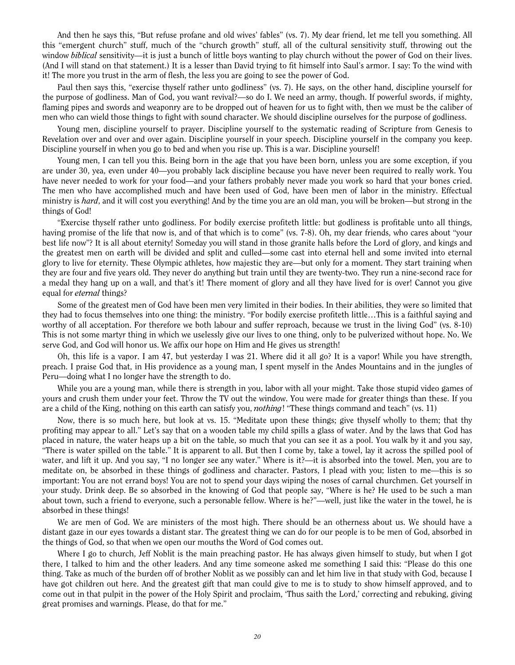And then he says this, "But refuse profane and old wives' fables" (vs. 7). My dear friend, let me tell you something. All this "emergent church" stuff, much of the "church growth" stuff, all of the cultural sensitivity stuff, throwing out the window *biblical* sensitivity—it is just a bunch of little boys wanting to play church without the power of God on their lives. (And I will stand on that statement.) It is a lesser than David trying to fit himself into Saul's armor. I say: To the wind with it! The more you trust in the arm of flesh, the less you are going to see the power of God.

Paul then says this, "exercise thyself rather unto godliness" (vs. 7). He says, on the other hand, discipline yourself for the purpose of godliness. Man of God, you want revival?—so do I. We need an army, though. If powerful swords, if mighty, flaming pipes and swords and weaponry are to be dropped out of heaven for us to fight with, then we must be the caliber of men who can wield those things to fight with sound character. We should discipline ourselves for the purpose of godliness.

Young men, discipline yourself to prayer. Discipline yourself to the systematic reading of Scripture from Genesis to Revelation over and over and over again. Discipline yourself in your speech. Discipline yourself in the company you keep. Discipline yourself in when you go to bed and when you rise up. This is a war. Discipline yourself!

Young men, I can tell you this. Being born in the age that you have been born, unless you are some exception, if you are under 30, yea, even under 40—you probably lack discipline because you have never been required to really work. You have never needed to work for your food—and your fathers probably never made you work so hard that your bones cried. The men who have accomplished much and have been used of God, have been men of labor in the ministry. Effectual ministry is *hard*, and it will cost you everything! And by the time you are an old man, you will be broken—but strong in the things of God!

"Exercise thyself rather unto godliness. For bodily exercise profiteth little: but godliness is profitable unto all things, having promise of the life that now is, and of that which is to come" (vs. 7-8). Oh, my dear friends, who cares about "your best life now"? It is all about eternity! Someday you will stand in those granite halls before the Lord of glory, and kings and the greatest men on earth will be divided and split and culled—some cast into eternal hell and some invited into eternal glory to live for eternity. These Olympic athletes, how majestic they are—but only for a moment. They start training when they are four and five years old. They never do anything but train until they are twenty-two. They run a nine-second race for a medal they hang up on a wall, and that's it! There moment of glory and all they have lived for is over! Cannot you give equal for *eternal* things?

Some of the greatest men of God have been men very limited in their bodies. In their abilities, they were so limited that they had to focus themselves into one thing: the ministry. "For bodily exercise profiteth little…This is a faithful saying and worthy of all acceptation. For therefore we both labour and suffer reproach, because we trust in the living God" (vs. 8-10) This is not some martyr thing in which we uselessly give our lives to one thing, only to be pulverized without hope. No. We serve God, and God will honor us. We affix our hope on Him and He gives us strength!

Oh, this life is a vapor. I am 47, but yesterday I was 21. Where did it all go? It is a vapor! While you have strength, preach. I praise God that, in His providence as a young man, I spent myself in the Andes Mountains and in the jungles of Peru—doing what I no longer have the strength to do.

While you are a young man, while there is strength in you, labor with all your might. Take those stupid video games of yours and crush them under your feet. Throw the TV out the window. You were made for greater things than these. If you are a child of the King, nothing on this earth can satisfy you, *nothing*! "These things command and teach" (vs. 11)

Now, there is so much here, but look at vs. 15. "Meditate upon these things; give thyself wholly to them; that thy profiting may appear to all." Let's say that on a wooden table my child spills a glass of water. And by the laws that God has placed in nature, the water heaps up a bit on the table, so much that you can see it as a pool. You walk by it and you say, "There is water spilled on the table." It is apparent to all. But then I come by, take a towel, lay it across the spilled pool of water, and lift it up. And you say, "I no longer see any water." Where is it?—it is absorbed into the towel. Men, you are to meditate on, be absorbed in these things of godliness and character. Pastors, I plead with you; listen to me—this is so important: You are not errand boys! You are not to spend your days wiping the noses of carnal churchmen. Get yourself in your study. Drink deep. Be so absorbed in the knowing of God that people say, "Where is he? He used to be such a man about town, such a friend to everyone, such a personable fellow. Where is he?"—well, just like the water in the towel, he is absorbed in these things!

We are men of God. We are ministers of the most high. There should be an otherness about us. We should have a distant gaze in our eyes towards a distant star. The greatest thing we can do for our people is to be men of God, absorbed in the things of God, so that when we open our mouths the Word of God comes out.

Where I go to church, Jeff Noblit is the main preaching pastor. He has always given himself to study, but when I got there, I talked to him and the other leaders. And any time someone asked me something I said this: "Please do this one thing. Take as much of the burden off of brother Noblit as we possibly can and let him live in that study with God, because I have got children out here. And the greatest gift that man could give to me is to study to show himself approved, and to come out in that pulpit in the power of the Holy Spirit and proclaim, 'Thus saith the Lord,' correcting and rebuking, giving great promises and warnings. Please, do that for me."